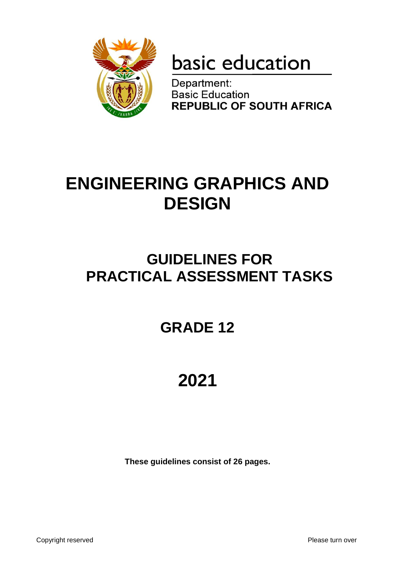

# basic education

Department: **Basic Education REPUBLIC OF SOUTH AFRICA** 

# **ENGINEERING GRAPHICS AND DESIGN**

# **GUIDELINES FOR PRACTICAL ASSESSMENT TASKS**

# **GRADE 12**

# **2021**

**These guidelines consist of 26 pages.**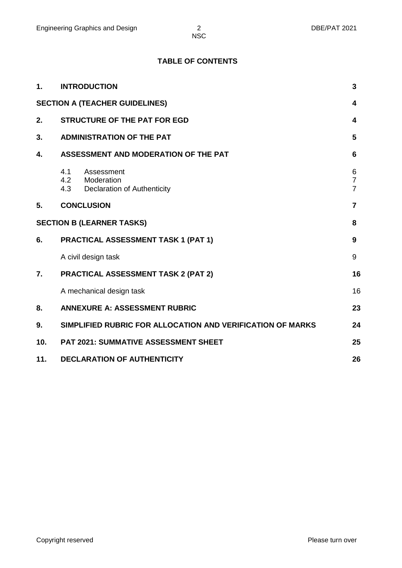# **TABLE OF CONTENTS**

| $\mathbf 1$ . | <b>INTRODUCTION</b>                                                              |                                       |  |  |  |  |  |  |  |
|---------------|----------------------------------------------------------------------------------|---------------------------------------|--|--|--|--|--|--|--|
|               | <b>SECTION A (TEACHER GUIDELINES)</b>                                            | 4                                     |  |  |  |  |  |  |  |
| 2.            | <b>STRUCTURE OF THE PAT FOR EGD</b>                                              | 4                                     |  |  |  |  |  |  |  |
| 3.            | <b>ADMINISTRATION OF THE PAT</b>                                                 | 5                                     |  |  |  |  |  |  |  |
| 4.            | ASSESSMENT AND MODERATION OF THE PAT                                             |                                       |  |  |  |  |  |  |  |
|               | 4.1<br>Assessment<br>4.2 Moderation<br>4.3<br><b>Declaration of Authenticity</b> | 6<br>$\overline{7}$<br>$\overline{7}$ |  |  |  |  |  |  |  |
| 5.            | <b>CONCLUSION</b>                                                                | $\overline{7}$                        |  |  |  |  |  |  |  |
|               | <b>SECTION B (LEARNER TASKS)</b>                                                 | 8                                     |  |  |  |  |  |  |  |
| 6.            | <b>PRACTICAL ASSESSMENT TASK 1 (PAT 1)</b>                                       | 9                                     |  |  |  |  |  |  |  |
|               | A civil design task                                                              | 9                                     |  |  |  |  |  |  |  |
| 7.            | <b>PRACTICAL ASSESSMENT TASK 2 (PAT 2)</b>                                       | 16                                    |  |  |  |  |  |  |  |
|               | A mechanical design task                                                         | 16                                    |  |  |  |  |  |  |  |
| 8.            | <b>ANNEXURE A: ASSESSMENT RUBRIC</b>                                             | 23                                    |  |  |  |  |  |  |  |
| 9.            | SIMPLIFIED RUBRIC FOR ALLOCATION AND VERIFICATION OF MARKS                       | 24                                    |  |  |  |  |  |  |  |
| 10.           | <b>PAT 2021: SUMMATIVE ASSESSMENT SHEET</b>                                      | 25                                    |  |  |  |  |  |  |  |
| 11.           | <b>DECLARATION OF AUTHENTICITY</b><br>26                                         |                                       |  |  |  |  |  |  |  |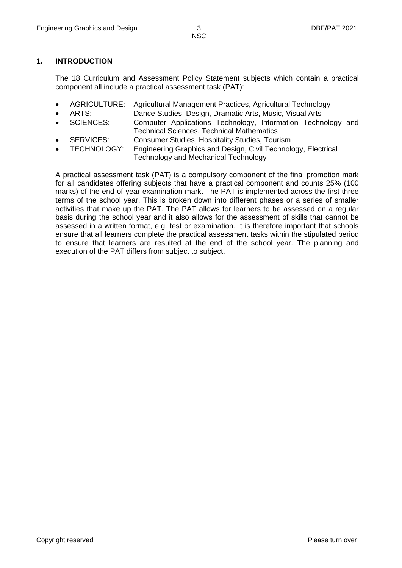# **1. INTRODUCTION**

The 18 Curriculum and Assessment Policy Statement subjects which contain a practical component all include a practical assessment task (PAT):

- AGRICULTURE: Agricultural Management Practices, Agricultural Technology
	- ARTS: Dance Studies, Design, Dramatic Arts, Music, Visual Arts
- SCIENCES: Computer Applications Technology, Information Technology and Technical Sciences, Technical Mathematics
- SERVICES: Consumer Studies, Hospitality Studies, Tourism
- TECHNOLOGY: Engineering Graphics and Design, Civil Technology, Electrical Technology and Mechanical Technology

A practical assessment task (PAT) is a compulsory component of the final promotion mark for all candidates offering subjects that have a practical component and counts 25% (100 marks) of the end-of-year examination mark. The PAT is implemented across the first three terms of the school year. This is broken down into different phases or a series of smaller activities that make up the PAT. The PAT allows for learners to be assessed on a regular basis during the school year and it also allows for the assessment of skills that cannot be assessed in a written format, e.g. test or examination. It is therefore important that schools ensure that all learners complete the practical assessment tasks within the stipulated period to ensure that learners are resulted at the end of the school year. The planning and execution of the PAT differs from subject to subject.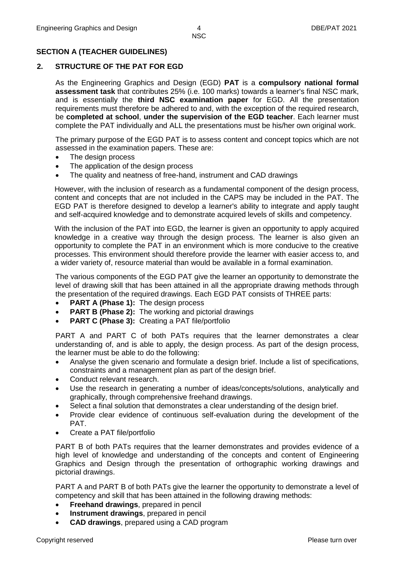# **SECTION A (TEACHER GUIDELINES)**

# **2. STRUCTURE OF THE PAT FOR EGD**

As the Engineering Graphics and Design (EGD) **PAT** is a **compulsory national formal assessment task** that contributes 25% (i.e. 100 marks) towards a learner's final NSC mark, and is essentially the **third NSC examination paper** for EGD. All the presentation requirements must therefore be adhered to and, with the exception of the required research, be **completed at school**, **under the supervision of the EGD teacher**. Each learner must complete the PAT individually and ALL the presentations must be his/her own original work.

The primary purpose of the EGD PAT is to assess content and concept topics which are not assessed in the examination papers. These are:

- The design process
- The application of the design process
- The quality and neatness of free-hand, instrument and CAD drawings

However, with the inclusion of research as a fundamental component of the design process, content and concepts that are not included in the CAPS may be included in the PAT. The EGD PAT is therefore designed to develop a learner's ability to integrate and apply taught and self-acquired knowledge and to demonstrate acquired levels of skills and competency.

With the inclusion of the PAT into EGD, the learner is given an opportunity to apply acquired knowledge in a creative way through the design process. The learner is also given an opportunity to complete the PAT in an environment which is more conducive to the creative processes. This environment should therefore provide the learner with easier access to, and a wider variety of, resource material than would be available in a formal examination.

The various components of the EGD PAT give the learner an opportunity to demonstrate the level of drawing skill that has been attained in all the appropriate drawing methods through the presentation of the required drawings. Each EGD PAT consists of THREE parts:

- **PART A (Phase 1):** The design process
- **PART B (Phase 2):** The working and pictorial drawings
- **PART C (Phase 3):** Creating a PAT file/portfolio

PART A and PART C of both PATs requires that the learner demonstrates a clear understanding of, and is able to apply, the design process. As part of the design process, the learner must be able to do the following:

- Analyse the given scenario and formulate a design brief. Include a list of specifications, constraints and a management plan as part of the design brief.
- Conduct relevant research.
- Use the research in generating a number of ideas/concepts/solutions, analytically and graphically, through comprehensive freehand drawings.
- Select a final solution that demonstrates a clear understanding of the design brief.
- Provide clear evidence of continuous self-evaluation during the development of the PAT.
- Create a PAT file/portfolio

PART B of both PATs requires that the learner demonstrates and provides evidence of a high level of knowledge and understanding of the concepts and content of Engineering Graphics and Design through the presentation of orthographic working drawings and pictorial drawings.

PART A and PART B of both PATs give the learner the opportunity to demonstrate a level of competency and skill that has been attained in the following drawing methods:

- **Freehand drawings**, prepared in pencil
- **Instrument drawings**, prepared in pencil
- **CAD drawings**, prepared using a CAD program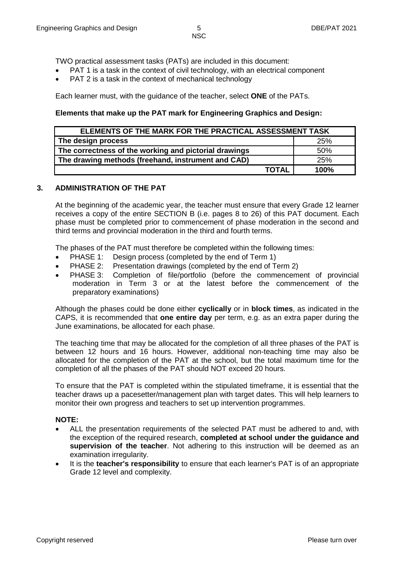TWO practical assessment tasks (PATs) are included in this document:

- PAT 1 is a task in the context of civil technology, with an electrical component
- PAT 2 is a task in the context of mechanical technology

Each learner must, with the guidance of the teacher, select **ONE** of the PATs.

#### **Elements that make up the PAT mark for Engineering Graphics and Design:**

| ELEMENTS OF THE MARK FOR THE PRACTICAL ASSESSMENT TASK |      |  |  |  |  |  |  |  |  |
|--------------------------------------------------------|------|--|--|--|--|--|--|--|--|
| The design process                                     | 25%  |  |  |  |  |  |  |  |  |
| The correctness of the working and pictorial drawings  | 50%  |  |  |  |  |  |  |  |  |
| The drawing methods (freehand, instrument and CAD)     | 25%  |  |  |  |  |  |  |  |  |
| <b>TOTAL</b>                                           | 100% |  |  |  |  |  |  |  |  |

#### **3. ADMINISTRATION OF THE PAT**

At the beginning of the academic year, the teacher must ensure that every Grade 12 learner receives a copy of the entire SECTION B (i.e. pages 8 to 26) of this PAT document. Each phase must be completed prior to commencement of phase moderation in the second and third terms and provincial moderation in the third and fourth terms.

The phases of the PAT must therefore be completed within the following times:

- PHASE 1: Design process (completed by the end of Term 1)
- PHASE 2: Presentation drawings (completed by the end of Term 2)
- PHASE 3: Completion of file/portfolio (before the commencement of provincial moderation in Term 3 or at the latest before the commencement of the preparatory examinations)

Although the phases could be done either **cyclically** or in **block times**, as indicated in the CAPS, it is recommended that **one entire day** per term, e.g. as an extra paper during the June examinations, be allocated for each phase.

The teaching time that may be allocated for the completion of all three phases of the PAT is between 12 hours and 16 hours. However, additional non-teaching time may also be allocated for the completion of the PAT at the school, but the total maximum time for the completion of all the phases of the PAT should NOT exceed 20 hours.

To ensure that the PAT is completed within the stipulated timeframe, it is essential that the teacher draws up a pacesetter/management plan with target dates. This will help learners to monitor their own progress and teachers to set up intervention programmes.

#### **NOTE:**

- ALL the presentation requirements of the selected PAT must be adhered to and, with the exception of the required research, **completed at school under the guidance and supervision of the teacher**. Not adhering to this instruction will be deemed as an examination irregularity.
- It is the **teacher's responsibility** to ensure that each learner's PAT is of an appropriate Grade 12 level and complexity.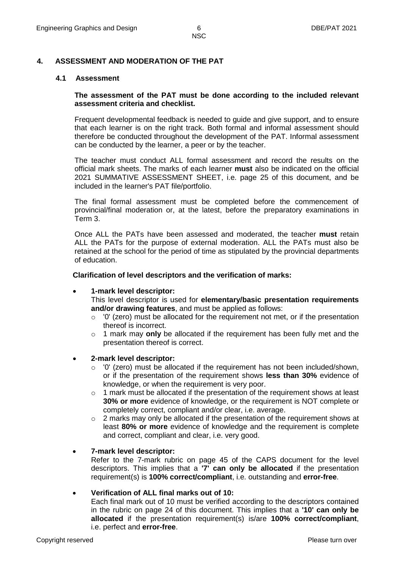#### **4. ASSESSMENT AND MODERATION OF THE PAT**

#### **4.1 Assessment**

#### **The assessment of the PAT must be done according to the included relevant assessment criteria and checklist.**

Frequent developmental feedback is needed to guide and give support, and to ensure that each learner is on the right track. Both formal and informal assessment should therefore be conducted throughout the development of the PAT. Informal assessment can be conducted by the learner, a peer or by the teacher.

The teacher must conduct ALL formal assessment and record the results on the official mark sheets. The marks of each learner **must** also be indicated on the official 2021 SUMMATIVE ASSESSMENT SHEET, i.e. page 25 of this document, and be included in the learner's PAT file/portfolio.

The final formal assessment must be completed before the commencement of provincial/final moderation or, at the latest, before the preparatory examinations in Term 3.

Once ALL the PATs have been assessed and moderated, the teacher **must** retain ALL the PATs for the purpose of external moderation. ALL the PATs must also be retained at the school for the period of time as stipulated by the provincial departments of education.

**Clarification of level descriptors and the verification of marks:**

#### **1-mark level descriptor:**

This level descriptor is used for **elementary/basic presentation requirements and/or drawing features**, and must be applied as follows:

- $\circ$  '0' (zero) must be allocated for the requirement not met, or if the presentation thereof is incorrect.
- o 1 mark may **only** be allocated if the requirement has been fully met and the presentation thereof is correct.

#### **2-mark level descriptor:**

- $\circ$  '0' (zero) must be allocated if the requirement has not been included/shown, or if the presentation of the requirement shows **less than 30%** evidence of knowledge, or when the requirement is very poor.
- $\circ$  1 mark must be allocated if the presentation of the requirement shows at least **30% or more** evidence of knowledge, or the requirement is NOT complete or completely correct, compliant and/or clear, i.e. average.
- o 2 marks may only be allocated if the presentation of the requirement shows at least **80% or more** evidence of knowledge and the requirement is complete and correct, compliant and clear, i.e. very good.

#### **7-mark level descriptor:**

Refer to the 7-mark rubric on page 45 of the CAPS document for the level descriptors. This implies that a **'7' can only be allocated** if the presentation requirement(s) is **100% correct/compliant**, i.e. outstanding and **error-free**.

#### **Verification of ALL final marks out of 10:**

Each final mark out of 10 must be verified according to the descriptors contained in the rubric on page 24 of this document. This implies that a **'10' can only be allocated** if the presentation requirement(s) is/are **100% correct/compliant**, i.e. perfect and **error-free**.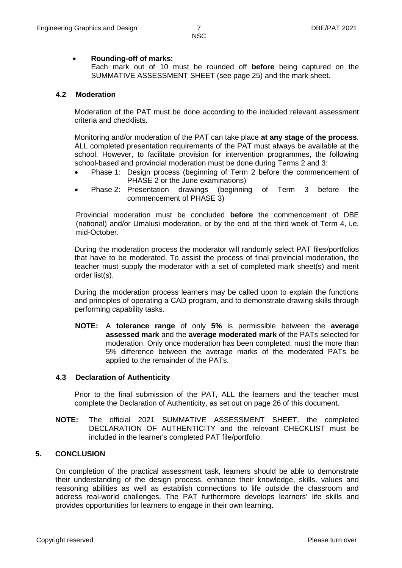#### **Rounding-off of marks:**

Each mark out of 10 must be rounded off **before** being captured on the SUMMATIVE ASSESSMENT SHEET (see page 25) and the mark sheet.

#### **4.2 Moderation**

Moderation of the PAT must be done according to the included relevant assessment criteria and checklists.

Monitoring and/or moderation of the PAT can take place **at any stage of the process**. ALL completed presentation requirements of the PAT must always be available at the school. However, to facilitate provision for intervention programmes, the following school-based and provincial moderation must be done during Terms 2 and 3:

- Phase 1: Design process (beginning of Term 2 before the commencement of PHASE 2 or the June examinations)
- Phase 2: Presentation drawings (beginning of Term 3 before the commencement of PHASE 3)

Provincial moderation must be concluded **before** the commencement of DBE (national) and/or Umalusi moderation, or by the end of the third week of Term 4, i.e. mid-October.

During the moderation process the moderator will randomly select PAT files/portfolios that have to be moderated. To assist the process of final provincial moderation, the teacher must supply the moderator with a set of completed mark sheet(s) and merit order list(s).

During the moderation process learners may be called upon to explain the functions and principles of operating a CAD program, and to demonstrate drawing skills through performing capability tasks.

**NOTE:** A **tolerance range** of only **5%** is permissible between the **average assessed mark** and the **average moderated mark** of the PATs selected for moderation. Only once moderation has been completed, must the more than 5% difference between the average marks of the moderated PATs be applied to the remainder of the PATs.

#### **4.3 Declaration of Authenticity**

Prior to the final submission of the PAT, ALL the learners and the teacher must complete the Declaration of Authenticity, as set out on page 26 of this document.

**NOTE:** The official 2021 SUMMATIVE ASSESSMENT SHEET, the completed DECLARATION OF AUTHENTICITY and the relevant CHECKLIST must be included in the learner's completed PAT file/portfolio.

# **5. CONCLUSION**

On completion of the practical assessment task, learners should be able to demonstrate their understanding of the design process, enhance their knowledge, skills, values and reasoning abilities as well as establish connections to life outside the classroom and address real-world challenges. The PAT furthermore develops learners' life skills and provides opportunities for learners to engage in their own learning.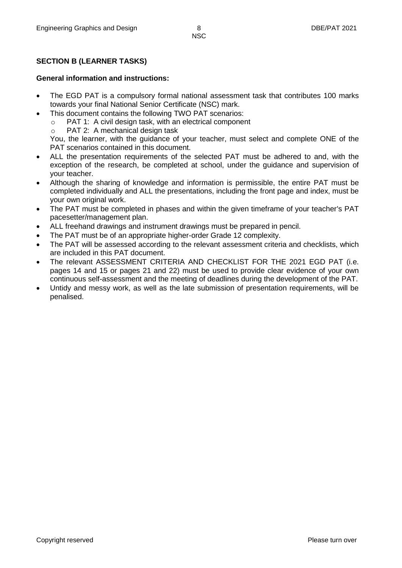# **SECTION B (LEARNER TASKS)**

#### **General information and instructions:**

- The EGD PAT is a compulsory formal national assessment task that contributes 100 marks towards your final National Senior Certificate (NSC) mark.
- This document contains the following TWO PAT scenarios:
	- o PAT 1: A civil design task, with an electrical component
	- o PAT 2: A mechanical design task

You, the learner, with the guidance of your teacher, must select and complete ONE of the PAT scenarios contained in this document.

- ALL the presentation requirements of the selected PAT must be adhered to and, with the exception of the research, be completed at school, under the guidance and supervision of your teacher.
- Although the sharing of knowledge and information is permissible, the entire PAT must be completed individually and ALL the presentations, including the front page and index, must be your own original work.
- The PAT must be completed in phases and within the given timeframe of your teacher's PAT pacesetter/management plan.
- ALL freehand drawings and instrument drawings must be prepared in pencil.
- The PAT must be of an appropriate higher-order Grade 12 complexity.
- The PAT will be assessed according to the relevant assessment criteria and checklists, which are included in this PAT document.
- The relevant ASSESSMENT CRITERIA AND CHECKLIST FOR THE 2021 EGD PAT (i.e. pages 14 and 15 or pages 21 and 22) must be used to provide clear evidence of your own continuous self-assessment and the meeting of deadlines during the development of the PAT.
- Untidy and messy work, as well as the late submission of presentation requirements, will be penalised.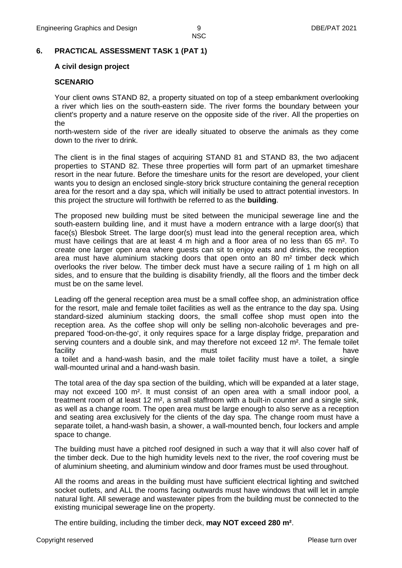#### **6. PRACTICAL ASSESSMENT TASK 1 (PAT 1)**

#### **A civil design project**

#### **SCENARIO**

Your client owns STAND 82, a property situated on top of a steep embankment overlooking a river which lies on the south-eastern side. The river forms the boundary between your client's property and a nature reserve on the opposite side of the river. All the properties on the

north-western side of the river are ideally situated to observe the animals as they come down to the river to drink.

The client is in the final stages of acquiring STAND 81 and STAND 83, the two adjacent properties to STAND 82. These three properties will form part of an upmarket timeshare resort in the near future. Before the timeshare units for the resort are developed, your client wants you to design an enclosed single-story brick structure containing the general reception area for the resort and a day spa, which will initially be used to attract potential investors. In this project the structure will forthwith be referred to as the **building**.

The proposed new building must be sited between the municipal sewerage line and the south-eastern building line, and it must have a modern entrance with a large door(s) that face(s) Blesbok Street. The large door(s) must lead into the general reception area, which must have ceilings that are at least 4 m high and a floor area of no less than 65 m². To create one larger open area where guests can sit to enjoy eats and drinks, the reception area must have aluminium stacking doors that open onto an 80 m² timber deck which overlooks the river below. The timber deck must have a secure railing of 1 m high on all sides, and to ensure that the building is disability friendly, all the floors and the timber deck must be on the same level.

Leading off the general reception area must be a small coffee shop, an administration office for the resort, male and female toilet facilities as well as the entrance to the day spa. Using standard-sized aluminium stacking doors, the small coffee shop must open into the reception area. As the coffee shop will only be selling non-alcoholic beverages and preprepared 'food-on-the-go', it only requires space for a large display fridge, preparation and serving counters and a double sink, and may therefore not exceed 12 m<sup>2</sup>. The female toilet facility have not contained the must have have have have a toilet and a hand-wash basin, and the male toilet facility must have a toilet, a single wall-mounted urinal and a hand-wash basin.

The total area of the day spa section of the building, which will be expanded at a later stage, may not exceed 100 m². It must consist of an open area with a small indoor pool, a treatment room of at least 12 m², a small staffroom with a built-in counter and a single sink, as well as a change room. The open area must be large enough to also serve as a reception and seating area exclusively for the clients of the day spa. The change room must have a separate toilet, a hand-wash basin, a shower, a wall-mounted bench, four lockers and ample space to change.

The building must have a pitched roof designed in such a way that it will also cover half of the timber deck. Due to the high humidity levels next to the river, the roof covering must be of aluminium sheeting, and aluminium window and door frames must be used throughout.

All the rooms and areas in the building must have sufficient electrical lighting and switched socket outlets, and ALL the rooms facing outwards must have windows that will let in ample natural light. All sewerage and wastewater pipes from the building must be connected to the existing municipal sewerage line on the property.

The entire building, including the timber deck, **may NOT exceed 280 m²**.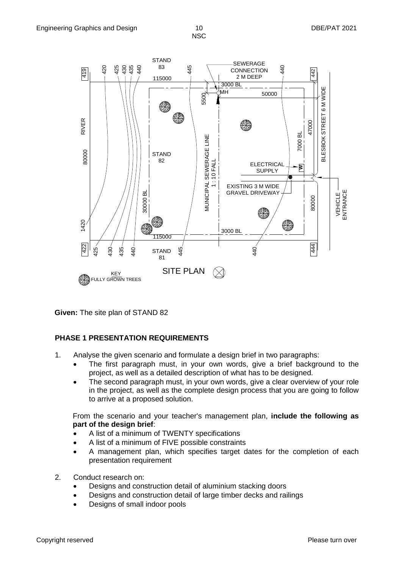

**Given:** The site plan of STAND 82

# **PHASE 1 PRESENTATION REQUIREMENTS**

- 1. Analyse the given scenario and formulate a design brief in two paragraphs:
	- The first paragraph must, in your own words, give a brief background to the project, as well as a detailed description of what has to be designed.
		- The second paragraph must, in your own words, give a clear overview of your role in the project, as well as the complete design process that you are going to follow to arrive at a proposed solution.

From the scenario and your teacher's management plan, **include the following as part of the design brief**:

- A list of a minimum of TWENTY specifications
- A list of a minimum of FIVE possible constraints
- A management plan, which specifies target dates for the completion of each presentation requirement
- 2. Conduct research on:
	- Designs and construction detail of aluminium stacking doors
	- Designs and construction detail of large timber decks and railings
	- Designs of small indoor pools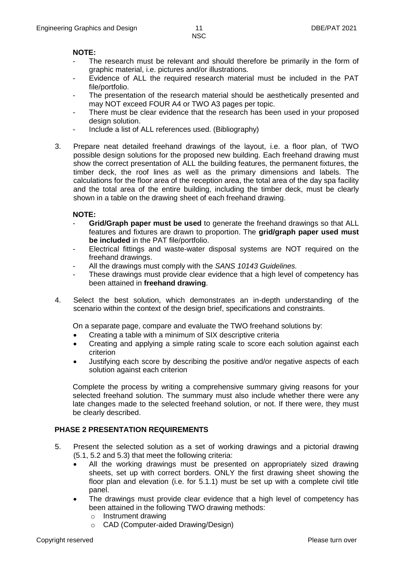# **NOTE:**

- The research must be relevant and should therefore be primarily in the form of graphic material, i.e. pictures and/or illustrations.
- Evidence of ALL the required research material must be included in the PAT file/portfolio.
- The presentation of the research material should be aesthetically presented and may NOT exceed FOUR A4 or TWO A3 pages per topic.
- There must be clear evidence that the research has been used in your proposed design solution.
- Include a list of ALL references used. (Bibliography)
- 3. Prepare neat detailed freehand drawings of the layout, i.e. a floor plan, of TWO possible design solutions for the proposed new building. Each freehand drawing must show the correct presentation of ALL the building features, the permanent fixtures, the timber deck, the roof lines as well as the primary dimensions and labels. The calculations for the floor area of the reception area, the total area of the day spa facility and the total area of the entire building, including the timber deck, must be clearly shown in a table on the drawing sheet of each freehand drawing.

# **NOTE:**

- **Grid/Graph paper must be used** to generate the freehand drawings so that ALL features and fixtures are drawn to proportion. The **grid/graph paper used must be included** in the PAT file/portfolio.
- Electrical fittings and waste-water disposal systems are NOT required on the freehand drawings.
- All the drawings must comply with the *SANS 10143 Guidelines.*
- These drawings must provide clear evidence that a high level of competency has been attained in **freehand drawing**.
- 4. Select the best solution, which demonstrates an in-depth understanding of the scenario within the context of the design brief, specifications and constraints.

On a separate page, compare and evaluate the TWO freehand solutions by:

- Creating a table with a minimum of SIX descriptive criteria
- Creating and applying a simple rating scale to score each solution against each criterion
- Justifying each score by describing the positive and/or negative aspects of each solution against each criterion

Complete the process by writing a comprehensive summary giving reasons for your selected freehand solution. The summary must also include whether there were any late changes made to the selected freehand solution, or not. If there were, they must be clearly described.

# **PHASE 2 PRESENTATION REQUIREMENTS**

- 5. Present the selected solution as a set of working drawings and a pictorial drawing (5.1, 5.2 and 5.3) that meet the following criteria:
	- All the working drawings must be presented on appropriately sized drawing sheets, set up with correct borders. ONLY the first drawing sheet showing the floor plan and elevation (i.e. for 5.1.1) must be set up with a complete civil title panel.
	- The drawings must provide clear evidence that a high level of competency has been attained in the following TWO drawing methods:
		- o Instrument drawing
		- o CAD (Computer-aided Drawing/Design)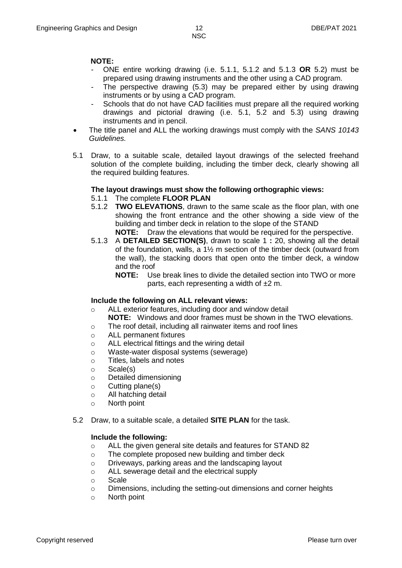# **NOTE:**

- ONE entire working drawing (i.e. 5.1.1, 5.1.2 and 5.1.3 **OR** 5.2) must be prepared using drawing instruments and the other using a CAD program.
- The perspective drawing (5.3) may be prepared either by using drawing instruments or by using a CAD program.
- Schools that do not have CAD facilities must prepare all the required working drawings and pictorial drawing (i.e. 5.1, 5.2 and 5.3) using drawing instruments and in pencil.
- The title panel and ALL the working drawings must comply with the *SANS 10143 Guidelines.*
- 5.1 Draw, to a suitable scale, detailed layout drawings of the selected freehand solution of the complete building, including the timber deck, clearly showing all the required building features.

# **The layout drawings must show the following orthographic views:**

#### 5.1.1 The complete **FLOOR PLAN**

- 5.1.2 **TWO ELEVATIONS**, drawn to the same scale as the floor plan, with one showing the front entrance and the other showing a side view of the building and timber deck in relation to the slope of the STAND **NOTE:** Draw the elevations that would be required for the perspective.
- 5.1.3 A **DETAILED SECTION(S)**, drawn to scale 1 **:** 20, showing all the detail of the foundation, walls, a 1½ m section of the timber deck (outward from the wall), the stacking doors that open onto the timber deck, a window and the roof
	- **NOTE:** Use break lines to divide the detailed section into TWO or more parts, each representing a width of ±2 m.

# **Include the following on ALL relevant views:**

- o ALL exterior features, including door and window detail
	- **NOTE:** Windows and door frames must be shown in the TWO elevations.
- o The roof detail, including all rainwater items and roof lines
- o ALL permanent fixtures
- o ALL electrical fittings and the wiring detail
- o Waste-water disposal systems (sewerage)
- o Titles, labels and notes
- o Scale(s)
- o Detailed dimensioning
- $\circ$  Cutting plane(s)
- o All hatching detail
- o North point
- 5.2 Draw, to a suitable scale, a detailed **SITE PLAN** for the task.

#### **Include the following:**

- o ALL the given general site details and features for STAND 82
- o The complete proposed new building and timber deck
- o Driveways, parking areas and the landscaping layout
- o ALL sewerage detail and the electrical supply
- o Scale
- o Dimensions, including the setting-out dimensions and corner heights
- o North point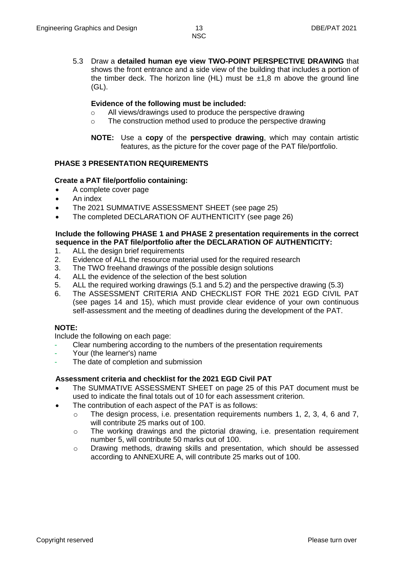- **NSC**
- 5.3 Draw a **detailed human eye view TWO-POINT PERSPECTIVE DRAWING** that shows the front entrance and a side view of the building that includes a portion of the timber deck. The horizon line (HL) must be  $\pm 1.8$  m above the ground line (GL).

# **Evidence of the following must be included:**

- o All views/drawings used to produce the perspective drawing
- o The construction method used to produce the perspective drawing
- **NOTE:** Use a **copy** of the **perspective drawing**, which may contain artistic features, as the picture for the cover page of the PAT file/portfolio.

# **PHASE 3 PRESENTATION REQUIREMENTS**

# **Create a PAT file/portfolio containing:**

- A complete cover page
- An index
- The 2021 SUMMATIVE ASSESSMENT SHEET (see page 25)
- The completed DECLARATION OF AUTHENTICITY (see page 26)

# **Include the following PHASE 1 and PHASE 2 presentation requirements in the correct sequence in the PAT file/portfolio after the DECLARATION OF AUTHENTICITY:**

- 1. ALL the design brief requirements
- 2. Evidence of ALL the resource material used for the required research
- 3. The TWO freehand drawings of the possible design solutions
- 4. ALL the evidence of the selection of the best solution
- 5. ALL the required working drawings (5.1 and 5.2) and the perspective drawing (5.3)
- 6. The ASSESSMENT CRITERIA AND CHECKLIST FOR THE 2021 EGD CIVIL PAT (see pages 14 and 15), which must provide clear evidence of your own continuous self-assessment and the meeting of deadlines during the development of the PAT.

# **NOTE:**

Include the following on each page:

- Clear numbering according to the numbers of the presentation requirements
- Your (the learner's) name
- The date of completion and submission

# **Assessment criteria and checklist for the 2021 EGD Civil PAT**

- The SUMMATIVE ASSESSMENT SHEET on page 25 of this PAT document must be used to indicate the final totals out of 10 for each assessment criterion.
- The contribution of each aspect of the PAT is as follows:
	- $\circ$  The design process, i.e. presentation requirements numbers 1, 2, 3, 4, 6 and 7, will contribute 25 marks out of 100.
	- o The working drawings and the pictorial drawing, i.e. presentation requirement number 5, will contribute 50 marks out of 100.
	- o Drawing methods, drawing skills and presentation, which should be assessed according to ANNEXURE A, will contribute 25 marks out of 100.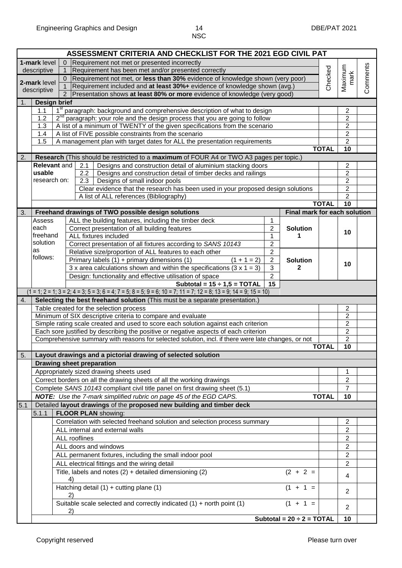|                    |                                                         |                | ASSESSMENT CRITERIA AND CHECKLIST FOR THE 2021 EGD CIVIL PAT                                                       |                                       |              |                                  |          |  |  |  |  |
|--------------------|---------------------------------------------------------|----------------|--------------------------------------------------------------------------------------------------------------------|---------------------------------------|--------------|----------------------------------|----------|--|--|--|--|
|                    | 1-mark level                                            | $\overline{0}$ | Requirement not met or presented incorrectly                                                                       |                                       |              |                                  |          |  |  |  |  |
|                    | descriptive                                             | 1.             | Requirement has been met and/or presented correctly                                                                |                                       | Checked      | Maximum                          | Comments |  |  |  |  |
|                    | 2-mark level                                            | $\overline{0}$ | Requirement not met, or less than 30% evidence of knowledge shown (very poor)                                      |                                       |              | mark                             |          |  |  |  |  |
|                    | descriptive                                             | $\mathbf{1}$   | Requirement included and at least 30%+ evidence of knowledge shown (avg.)                                          |                                       |              |                                  |          |  |  |  |  |
|                    |                                                         | $\overline{2}$ | Presentation shows at least 80% or more evidence of knowledge (very good)                                          |                                       |              |                                  |          |  |  |  |  |
| 1.<br>Design brief |                                                         |                |                                                                                                                    |                                       |              |                                  |          |  |  |  |  |
|                    | 1.1                                                     |                | 1 <sup>st</sup> paragraph: background and comprehensive description of what to design                              |                                       |              | $\boldsymbol{2}$                 |          |  |  |  |  |
|                    | 1.2                                                     |                | 2 <sup>nd</sup> paragraph: your role and the design process that you are going to follow                           |                                       |              | $\overline{2}$                   |          |  |  |  |  |
|                    | 1.3                                                     |                | A list of a minimum of TWENTY of the given specifications from the scenario                                        |                                       |              | $\overline{\mathbf{c}}$          |          |  |  |  |  |
|                    | 1.4                                                     |                | A list of FIVE possible constraints from the scenario                                                              |                                       |              | $\overline{c}$                   |          |  |  |  |  |
|                    | 1.5                                                     |                | A management plan with target dates for ALL the presentation requirements                                          |                                       |              | $\overline{2}$                   |          |  |  |  |  |
|                    |                                                         |                |                                                                                                                    |                                       | <b>TOTAL</b> | 10                               |          |  |  |  |  |
| 2.                 |                                                         |                | Research (This should be restricted to a maximum of FOUR A4 or TWO A3 pages per topic.)                            |                                       |              |                                  |          |  |  |  |  |
|                    | <b>Relevant and</b><br>usable                           |                | Designs and construction detail of aluminium stacking doors<br>2.1<br>2.2                                          |                                       |              | $\overline{2}$<br>$\overline{2}$ |          |  |  |  |  |
|                    | research on:                                            |                | Designs and construction detail of timber decks and railings<br>2.3<br>Designs of small indoor pools               |                                       |              | $\overline{2}$                   |          |  |  |  |  |
|                    |                                                         |                | Clear evidence that the research has been used in your proposed design solutions                                   |                                       |              | $\overline{c}$                   |          |  |  |  |  |
|                    |                                                         |                | A list of ALL references (Bibliography)                                                                            |                                       |              | $\overline{2}$                   |          |  |  |  |  |
|                    |                                                         |                |                                                                                                                    |                                       | <b>TOTAL</b> | $\overline{10}$                  |          |  |  |  |  |
| 3.                 |                                                         |                | Freehand drawings of TWO possible design solutions                                                                 | Final mark for each solution          |              |                                  |          |  |  |  |  |
|                    | Assess                                                  |                | ALL the building features, including the timber deck<br>1                                                          |                                       |              |                                  |          |  |  |  |  |
|                    | each                                                    |                | $\overline{2}$<br>Correct presentation of all building features                                                    | <b>Solution</b>                       |              |                                  |          |  |  |  |  |
|                    | freehand                                                |                | ALL fixtures included<br>1                                                                                         | 1                                     |              | 10                               |          |  |  |  |  |
|                    | solution                                                |                | Correct presentation of all fixtures according to SANS 10143<br>$\overline{2}$                                     |                                       |              |                                  |          |  |  |  |  |
|                    | as                                                      |                | $\overline{2}$<br>Relative size/proportion of ALL features to each other                                           |                                       |              |                                  |          |  |  |  |  |
|                    | follows:                                                |                | Primary labels $(1)$ + primary dimensions $(1)$<br>$\boldsymbol{2}$<br>$(1 + 1 = 2)$                               | <b>Solution</b>                       |              |                                  |          |  |  |  |  |
|                    |                                                         |                | 3 x area calculations shown and within the specifications $(3 \times 1 = 3)$<br>3                                  | $\mathbf{2}$                          |              | 10                               |          |  |  |  |  |
|                    |                                                         |                | $\overline{2}$<br>Design: functionality and effective utilisation of space                                         |                                       |              |                                  |          |  |  |  |  |
|                    |                                                         |                | Subtotal = $15 \div 1,5 = TOTAL$<br>15                                                                             |                                       |              |                                  |          |  |  |  |  |
|                    |                                                         |                | $(1 = 1; 2 = 1; 3 = 2; 4 = 3; 5 = 3; 6 = 4; 7 = 5; 8 = 5; 9 = 6; 10 = 7; 11 = 7; 12 = 8; 13 = 9; 14 = 9; 15 = 10)$ |                                       |              |                                  |          |  |  |  |  |
| 4.                 |                                                         |                | Selecting the best freehand solution (This must be a separate presentation.)                                       |                                       |              |                                  |          |  |  |  |  |
|                    |                                                         |                | Table created for the selection process                                                                            |                                       |              | $\overline{2}$                   |          |  |  |  |  |
|                    |                                                         |                | Minimum of SIX descriptive criteria to compare and evaluate                                                        |                                       |              | $\sqrt{2}$                       |          |  |  |  |  |
|                    |                                                         |                | Simple rating scale created and used to score each solution against each criterion                                 |                                       |              | $\overline{2}$                   |          |  |  |  |  |
|                    |                                                         |                | Each sore justified by describing the positive or negative aspects of each criterion                               |                                       |              | $\overline{2}$                   |          |  |  |  |  |
|                    |                                                         |                | Comprehensive summary with reasons for selected solution, incl. if there were late changes, or not                 |                                       | <b>TOTAL</b> | $\overline{2}$<br>10             |          |  |  |  |  |
|                    |                                                         |                | Layout drawings and a pictorial drawing of selected solution                                                       |                                       |              |                                  |          |  |  |  |  |
| 5.                 |                                                         |                | <b>Drawing sheet preparation</b>                                                                                   |                                       |              |                                  |          |  |  |  |  |
|                    |                                                         |                |                                                                                                                    |                                       |              |                                  |          |  |  |  |  |
|                    |                                                         |                | Appropriately sized drawing sheets used                                                                            |                                       |              | 1<br>$\overline{2}$              |          |  |  |  |  |
|                    |                                                         |                | Correct borders on all the drawing sheets of all the working drawings                                              |                                       |              | $\overline{7}$                   |          |  |  |  |  |
|                    |                                                         |                | Complete SANS 10143 compliant civil title panel on first drawing sheet (5.1)                                       |                                       |              |                                  |          |  |  |  |  |
|                    |                                                         |                | NOTE: Use the 7-mark simplified rubric on page 45 of the EGD CAPS.                                                 |                                       | <b>TOTAL</b> | 10                               |          |  |  |  |  |
| 5.1                |                                                         |                | Detailed layout drawings of the proposed new building and timber deck                                              |                                       |              |                                  |          |  |  |  |  |
|                    | 5.1.1                                                   |                | FLOOR PLAN showing:                                                                                                |                                       |              |                                  |          |  |  |  |  |
|                    |                                                         |                | Correlation with selected freehand solution and selection process summary<br>ALL internal and external walls       |                                       |              | $\overline{2}$                   |          |  |  |  |  |
|                    |                                                         |                |                                                                                                                    |                                       |              | $\overline{2}$                   |          |  |  |  |  |
|                    |                                                         |                | ALL rooflines                                                                                                      |                                       |              | $\overline{2}$                   |          |  |  |  |  |
|                    |                                                         |                | ALL doors and windows                                                                                              |                                       |              | $\overline{c}$<br>$\overline{2}$ |          |  |  |  |  |
|                    | ALL permanent fixtures, including the small indoor pool |                |                                                                                                                    |                                       |              |                                  |          |  |  |  |  |
|                    | ALL electrical fittings and the wiring detail           |                |                                                                                                                    |                                       |              |                                  |          |  |  |  |  |
|                    |                                                         |                | Title, labels and notes $(2)$ + detailed dimensioning $(2)$<br>4)                                                  | $(2 + 2 =$                            |              | $\overline{4}$                   |          |  |  |  |  |
|                    |                                                         |                | Hatching detail $(1)$ + cutting plane $(1)$<br>2)                                                                  | $(1 + 1 =$                            |              | $\overline{2}$                   |          |  |  |  |  |
|                    |                                                         |                | Suitable scale selected and correctly indicated $(1)$ + north point $(1)$<br>(2)                                   | $(1 + 1 =$                            |              | 2                                |          |  |  |  |  |
|                    |                                                         |                |                                                                                                                    | Subtotal = $20 \div 2 = \text{TOTAL}$ |              | 10                               |          |  |  |  |  |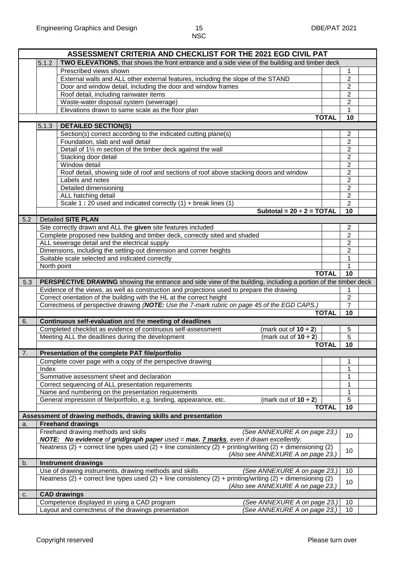| TWO ELEVATIONS, that shows the front entrance and a side view of the building and timber deck<br>5.1.2<br>Prescribed views shown<br>1<br>$\overline{2}$<br>External walls and ALL other external features, including the slope of the STAND<br>$\overline{2}$<br>Door and window detail, including the door and window frames<br>Roof detail, including rainwater items<br>$\overline{2}$<br>Waste-water disposal system (sewerage)<br>$\overline{2}$<br>Elevations drawn to same scale as the floor plan<br>1<br>10<br><b>TOTAL</b><br>5.1.3<br><b>DETAILED SECTION(S)</b><br>Section(s) correct according to the indicated cutting plane(s)<br>2<br>Foundation, slab and wall detail<br>$\overline{c}$<br>Detail of 11/2 m section of the timber deck against the wall<br>$\overline{2}$<br>$\overline{2}$<br>Stacking door detail<br>$\overline{2}$<br>Window detail<br>Roof detail, showing side of roof and sections of roof above stacking doors and window<br>$\overline{2}$<br>$\overline{2}$<br>Labels and notes<br>$\overline{2}$<br>Detailed dimensioning<br>$\overline{2}$<br>ALL hatching detail<br>Scale 1:20 used and indicated correctly (1) + break lines (1)<br>$\overline{2}$<br>Subtotal = $20 \div 2 = TOTAL$<br>10<br><b>Detailed SITE PLAN</b><br>5.2<br>Site correctly drawn and ALL the given site features included<br>$\overline{2}$<br>Complete proposed new building and timber deck, correctly sited and shaded<br>2<br>ALL sewerage detail and the electrical supply<br>$\overline{2}$<br>$\overline{2}$<br>Dimensions, including the setting-out dimension and corner heights<br>Suitable scale selected and indicated correctly<br>$\mathbf{1}$<br>North point<br>1<br><b>TOTAL</b><br>10<br>PERSPECTIVE DRAWING showing the entrance and side view of the building, including a portion of the timber deck<br>5.3<br>Evidence of the views, as well as construction and projections used to prepare the drawing<br>1<br>$\overline{2}$<br>Correct orientation of the building with the HL at the correct height<br>$\overline{7}$<br>Correctness of perspective drawing (NOTE: Use the 7-mark rubric on page 45 of the EGD CAPS.)<br><b>TOTAL</b><br>10<br>Continuous self-evaluation and the meeting of deadlines<br>6.<br>Completed checklist as evidence of continuous self-assessment<br>(mark out of $10 \div 2$ )<br>5<br>Meeting ALL the deadlines during the development<br>(mark out of $10 \div 2$ )<br>5<br><b>TOTAL</b><br>10<br>Presentation of the complete PAT file/portfolio<br>7.<br>Complete cover page with a copy of the perspective drawing<br>1<br>Index<br>1<br>Summative assessment sheet and declaration<br>1<br>Correct sequencing of ALL presentation requirements<br>1<br>Name and numbering on the presentation requirements<br>1<br>General impression of file/portfolio, e.g. binding, appearance, etc.<br>5<br>(mark out of $10 \div 2$ )<br>10<br><b>TOTAL</b><br>Assessment of drawing methods, drawing skills and presentation<br><b>Freehand drawings</b><br>a.<br>Freehand drawing methods and skills<br>(See ANNEXURE A on page 23.)<br>10<br>NOTE: No evidence of grid/graph paper used = max. <b>7 marks</b> , even if drawn excellently.<br>Neatness (2) + correct line types used (2) + line consistency (2) + printing/writing (2) + dimensioning (2)<br>10<br>(Also see ANNEXURE A on page 23.)<br><b>Instrument drawings</b><br>b.<br>Use of drawing instruments, drawing methods and skills<br>(See ANNEXURE A on page 23.)<br>10<br>Neatness (2) + correct line types used (2) + line consistency (2) + printing/writing (2) + dimensioning (2)<br>10<br>(Also see ANNEXURE A on page 23.)<br><b>CAD drawings</b><br>C.<br>Competence displayed in using a CAD program<br>(See ANNEXURE A on page 23.)<br>10<br>Layout and correctness of the drawings presentation<br>(See ANNEXURE A on page 23.)<br>10 | ASSESSMENT CRITERIA AND CHECKLIST FOR THE 2021 EGD CIVIL PAT |  |  |  |  |  |  |  |  |  |  |
|--------------------------------------------------------------------------------------------------------------------------------------------------------------------------------------------------------------------------------------------------------------------------------------------------------------------------------------------------------------------------------------------------------------------------------------------------------------------------------------------------------------------------------------------------------------------------------------------------------------------------------------------------------------------------------------------------------------------------------------------------------------------------------------------------------------------------------------------------------------------------------------------------------------------------------------------------------------------------------------------------------------------------------------------------------------------------------------------------------------------------------------------------------------------------------------------------------------------------------------------------------------------------------------------------------------------------------------------------------------------------------------------------------------------------------------------------------------------------------------------------------------------------------------------------------------------------------------------------------------------------------------------------------------------------------------------------------------------------------------------------------------------------------------------------------------------------------------------------------------------------------------------------------------------------------------------------------------------------------------------------------------------------------------------------------------------------------------------------------------------------------------------------------------------------------------------------------------------------------------------------------------------------------------------------------------------------------------------------------------------------------------------------------------------------------------------------------------------------------------------------------------------------------------------------------------------------------------------------------------------------------------------------------------------------------------------------------------------------------------------------------------------------------------------------------------------------------------------------------------------------------------------------------------------------------------------------------------------------------------------------------------------------------------------------------------------------------------------------------------------------------------------------------------------------------------------------------------------------------------------------------------------------------------------------------------------------------------------------------------------------------------------------------------------------------------------------------------------------------------------------------------------------------------------------------------------------------------------------------------------------------------------------------------------------------------------------------------------------------------------------------------------------------------------------------------------------------------------------------------------------------------------|--------------------------------------------------------------|--|--|--|--|--|--|--|--|--|--|
|                                                                                                                                                                                                                                                                                                                                                                                                                                                                                                                                                                                                                                                                                                                                                                                                                                                                                                                                                                                                                                                                                                                                                                                                                                                                                                                                                                                                                                                                                                                                                                                                                                                                                                                                                                                                                                                                                                                                                                                                                                                                                                                                                                                                                                                                                                                                                                                                                                                                                                                                                                                                                                                                                                                                                                                                                                                                                                                                                                                                                                                                                                                                                                                                                                                                                                                                                                                                                                                                                                                                                                                                                                                                                                                                                                                                                                                                                            |                                                              |  |  |  |  |  |  |  |  |  |  |
|                                                                                                                                                                                                                                                                                                                                                                                                                                                                                                                                                                                                                                                                                                                                                                                                                                                                                                                                                                                                                                                                                                                                                                                                                                                                                                                                                                                                                                                                                                                                                                                                                                                                                                                                                                                                                                                                                                                                                                                                                                                                                                                                                                                                                                                                                                                                                                                                                                                                                                                                                                                                                                                                                                                                                                                                                                                                                                                                                                                                                                                                                                                                                                                                                                                                                                                                                                                                                                                                                                                                                                                                                                                                                                                                                                                                                                                                                            |                                                              |  |  |  |  |  |  |  |  |  |  |
|                                                                                                                                                                                                                                                                                                                                                                                                                                                                                                                                                                                                                                                                                                                                                                                                                                                                                                                                                                                                                                                                                                                                                                                                                                                                                                                                                                                                                                                                                                                                                                                                                                                                                                                                                                                                                                                                                                                                                                                                                                                                                                                                                                                                                                                                                                                                                                                                                                                                                                                                                                                                                                                                                                                                                                                                                                                                                                                                                                                                                                                                                                                                                                                                                                                                                                                                                                                                                                                                                                                                                                                                                                                                                                                                                                                                                                                                                            |                                                              |  |  |  |  |  |  |  |  |  |  |
|                                                                                                                                                                                                                                                                                                                                                                                                                                                                                                                                                                                                                                                                                                                                                                                                                                                                                                                                                                                                                                                                                                                                                                                                                                                                                                                                                                                                                                                                                                                                                                                                                                                                                                                                                                                                                                                                                                                                                                                                                                                                                                                                                                                                                                                                                                                                                                                                                                                                                                                                                                                                                                                                                                                                                                                                                                                                                                                                                                                                                                                                                                                                                                                                                                                                                                                                                                                                                                                                                                                                                                                                                                                                                                                                                                                                                                                                                            |                                                              |  |  |  |  |  |  |  |  |  |  |
|                                                                                                                                                                                                                                                                                                                                                                                                                                                                                                                                                                                                                                                                                                                                                                                                                                                                                                                                                                                                                                                                                                                                                                                                                                                                                                                                                                                                                                                                                                                                                                                                                                                                                                                                                                                                                                                                                                                                                                                                                                                                                                                                                                                                                                                                                                                                                                                                                                                                                                                                                                                                                                                                                                                                                                                                                                                                                                                                                                                                                                                                                                                                                                                                                                                                                                                                                                                                                                                                                                                                                                                                                                                                                                                                                                                                                                                                                            |                                                              |  |  |  |  |  |  |  |  |  |  |
|                                                                                                                                                                                                                                                                                                                                                                                                                                                                                                                                                                                                                                                                                                                                                                                                                                                                                                                                                                                                                                                                                                                                                                                                                                                                                                                                                                                                                                                                                                                                                                                                                                                                                                                                                                                                                                                                                                                                                                                                                                                                                                                                                                                                                                                                                                                                                                                                                                                                                                                                                                                                                                                                                                                                                                                                                                                                                                                                                                                                                                                                                                                                                                                                                                                                                                                                                                                                                                                                                                                                                                                                                                                                                                                                                                                                                                                                                            |                                                              |  |  |  |  |  |  |  |  |  |  |
|                                                                                                                                                                                                                                                                                                                                                                                                                                                                                                                                                                                                                                                                                                                                                                                                                                                                                                                                                                                                                                                                                                                                                                                                                                                                                                                                                                                                                                                                                                                                                                                                                                                                                                                                                                                                                                                                                                                                                                                                                                                                                                                                                                                                                                                                                                                                                                                                                                                                                                                                                                                                                                                                                                                                                                                                                                                                                                                                                                                                                                                                                                                                                                                                                                                                                                                                                                                                                                                                                                                                                                                                                                                                                                                                                                                                                                                                                            |                                                              |  |  |  |  |  |  |  |  |  |  |
|                                                                                                                                                                                                                                                                                                                                                                                                                                                                                                                                                                                                                                                                                                                                                                                                                                                                                                                                                                                                                                                                                                                                                                                                                                                                                                                                                                                                                                                                                                                                                                                                                                                                                                                                                                                                                                                                                                                                                                                                                                                                                                                                                                                                                                                                                                                                                                                                                                                                                                                                                                                                                                                                                                                                                                                                                                                                                                                                                                                                                                                                                                                                                                                                                                                                                                                                                                                                                                                                                                                                                                                                                                                                                                                                                                                                                                                                                            |                                                              |  |  |  |  |  |  |  |  |  |  |
|                                                                                                                                                                                                                                                                                                                                                                                                                                                                                                                                                                                                                                                                                                                                                                                                                                                                                                                                                                                                                                                                                                                                                                                                                                                                                                                                                                                                                                                                                                                                                                                                                                                                                                                                                                                                                                                                                                                                                                                                                                                                                                                                                                                                                                                                                                                                                                                                                                                                                                                                                                                                                                                                                                                                                                                                                                                                                                                                                                                                                                                                                                                                                                                                                                                                                                                                                                                                                                                                                                                                                                                                                                                                                                                                                                                                                                                                                            |                                                              |  |  |  |  |  |  |  |  |  |  |
|                                                                                                                                                                                                                                                                                                                                                                                                                                                                                                                                                                                                                                                                                                                                                                                                                                                                                                                                                                                                                                                                                                                                                                                                                                                                                                                                                                                                                                                                                                                                                                                                                                                                                                                                                                                                                                                                                                                                                                                                                                                                                                                                                                                                                                                                                                                                                                                                                                                                                                                                                                                                                                                                                                                                                                                                                                                                                                                                                                                                                                                                                                                                                                                                                                                                                                                                                                                                                                                                                                                                                                                                                                                                                                                                                                                                                                                                                            |                                                              |  |  |  |  |  |  |  |  |  |  |
|                                                                                                                                                                                                                                                                                                                                                                                                                                                                                                                                                                                                                                                                                                                                                                                                                                                                                                                                                                                                                                                                                                                                                                                                                                                                                                                                                                                                                                                                                                                                                                                                                                                                                                                                                                                                                                                                                                                                                                                                                                                                                                                                                                                                                                                                                                                                                                                                                                                                                                                                                                                                                                                                                                                                                                                                                                                                                                                                                                                                                                                                                                                                                                                                                                                                                                                                                                                                                                                                                                                                                                                                                                                                                                                                                                                                                                                                                            |                                                              |  |  |  |  |  |  |  |  |  |  |
|                                                                                                                                                                                                                                                                                                                                                                                                                                                                                                                                                                                                                                                                                                                                                                                                                                                                                                                                                                                                                                                                                                                                                                                                                                                                                                                                                                                                                                                                                                                                                                                                                                                                                                                                                                                                                                                                                                                                                                                                                                                                                                                                                                                                                                                                                                                                                                                                                                                                                                                                                                                                                                                                                                                                                                                                                                                                                                                                                                                                                                                                                                                                                                                                                                                                                                                                                                                                                                                                                                                                                                                                                                                                                                                                                                                                                                                                                            |                                                              |  |  |  |  |  |  |  |  |  |  |
|                                                                                                                                                                                                                                                                                                                                                                                                                                                                                                                                                                                                                                                                                                                                                                                                                                                                                                                                                                                                                                                                                                                                                                                                                                                                                                                                                                                                                                                                                                                                                                                                                                                                                                                                                                                                                                                                                                                                                                                                                                                                                                                                                                                                                                                                                                                                                                                                                                                                                                                                                                                                                                                                                                                                                                                                                                                                                                                                                                                                                                                                                                                                                                                                                                                                                                                                                                                                                                                                                                                                                                                                                                                                                                                                                                                                                                                                                            |                                                              |  |  |  |  |  |  |  |  |  |  |
|                                                                                                                                                                                                                                                                                                                                                                                                                                                                                                                                                                                                                                                                                                                                                                                                                                                                                                                                                                                                                                                                                                                                                                                                                                                                                                                                                                                                                                                                                                                                                                                                                                                                                                                                                                                                                                                                                                                                                                                                                                                                                                                                                                                                                                                                                                                                                                                                                                                                                                                                                                                                                                                                                                                                                                                                                                                                                                                                                                                                                                                                                                                                                                                                                                                                                                                                                                                                                                                                                                                                                                                                                                                                                                                                                                                                                                                                                            |                                                              |  |  |  |  |  |  |  |  |  |  |
|                                                                                                                                                                                                                                                                                                                                                                                                                                                                                                                                                                                                                                                                                                                                                                                                                                                                                                                                                                                                                                                                                                                                                                                                                                                                                                                                                                                                                                                                                                                                                                                                                                                                                                                                                                                                                                                                                                                                                                                                                                                                                                                                                                                                                                                                                                                                                                                                                                                                                                                                                                                                                                                                                                                                                                                                                                                                                                                                                                                                                                                                                                                                                                                                                                                                                                                                                                                                                                                                                                                                                                                                                                                                                                                                                                                                                                                                                            |                                                              |  |  |  |  |  |  |  |  |  |  |
|                                                                                                                                                                                                                                                                                                                                                                                                                                                                                                                                                                                                                                                                                                                                                                                                                                                                                                                                                                                                                                                                                                                                                                                                                                                                                                                                                                                                                                                                                                                                                                                                                                                                                                                                                                                                                                                                                                                                                                                                                                                                                                                                                                                                                                                                                                                                                                                                                                                                                                                                                                                                                                                                                                                                                                                                                                                                                                                                                                                                                                                                                                                                                                                                                                                                                                                                                                                                                                                                                                                                                                                                                                                                                                                                                                                                                                                                                            |                                                              |  |  |  |  |  |  |  |  |  |  |
|                                                                                                                                                                                                                                                                                                                                                                                                                                                                                                                                                                                                                                                                                                                                                                                                                                                                                                                                                                                                                                                                                                                                                                                                                                                                                                                                                                                                                                                                                                                                                                                                                                                                                                                                                                                                                                                                                                                                                                                                                                                                                                                                                                                                                                                                                                                                                                                                                                                                                                                                                                                                                                                                                                                                                                                                                                                                                                                                                                                                                                                                                                                                                                                                                                                                                                                                                                                                                                                                                                                                                                                                                                                                                                                                                                                                                                                                                            |                                                              |  |  |  |  |  |  |  |  |  |  |
|                                                                                                                                                                                                                                                                                                                                                                                                                                                                                                                                                                                                                                                                                                                                                                                                                                                                                                                                                                                                                                                                                                                                                                                                                                                                                                                                                                                                                                                                                                                                                                                                                                                                                                                                                                                                                                                                                                                                                                                                                                                                                                                                                                                                                                                                                                                                                                                                                                                                                                                                                                                                                                                                                                                                                                                                                                                                                                                                                                                                                                                                                                                                                                                                                                                                                                                                                                                                                                                                                                                                                                                                                                                                                                                                                                                                                                                                                            |                                                              |  |  |  |  |  |  |  |  |  |  |
|                                                                                                                                                                                                                                                                                                                                                                                                                                                                                                                                                                                                                                                                                                                                                                                                                                                                                                                                                                                                                                                                                                                                                                                                                                                                                                                                                                                                                                                                                                                                                                                                                                                                                                                                                                                                                                                                                                                                                                                                                                                                                                                                                                                                                                                                                                                                                                                                                                                                                                                                                                                                                                                                                                                                                                                                                                                                                                                                                                                                                                                                                                                                                                                                                                                                                                                                                                                                                                                                                                                                                                                                                                                                                                                                                                                                                                                                                            |                                                              |  |  |  |  |  |  |  |  |  |  |
|                                                                                                                                                                                                                                                                                                                                                                                                                                                                                                                                                                                                                                                                                                                                                                                                                                                                                                                                                                                                                                                                                                                                                                                                                                                                                                                                                                                                                                                                                                                                                                                                                                                                                                                                                                                                                                                                                                                                                                                                                                                                                                                                                                                                                                                                                                                                                                                                                                                                                                                                                                                                                                                                                                                                                                                                                                                                                                                                                                                                                                                                                                                                                                                                                                                                                                                                                                                                                                                                                                                                                                                                                                                                                                                                                                                                                                                                                            |                                                              |  |  |  |  |  |  |  |  |  |  |
|                                                                                                                                                                                                                                                                                                                                                                                                                                                                                                                                                                                                                                                                                                                                                                                                                                                                                                                                                                                                                                                                                                                                                                                                                                                                                                                                                                                                                                                                                                                                                                                                                                                                                                                                                                                                                                                                                                                                                                                                                                                                                                                                                                                                                                                                                                                                                                                                                                                                                                                                                                                                                                                                                                                                                                                                                                                                                                                                                                                                                                                                                                                                                                                                                                                                                                                                                                                                                                                                                                                                                                                                                                                                                                                                                                                                                                                                                            |                                                              |  |  |  |  |  |  |  |  |  |  |
|                                                                                                                                                                                                                                                                                                                                                                                                                                                                                                                                                                                                                                                                                                                                                                                                                                                                                                                                                                                                                                                                                                                                                                                                                                                                                                                                                                                                                                                                                                                                                                                                                                                                                                                                                                                                                                                                                                                                                                                                                                                                                                                                                                                                                                                                                                                                                                                                                                                                                                                                                                                                                                                                                                                                                                                                                                                                                                                                                                                                                                                                                                                                                                                                                                                                                                                                                                                                                                                                                                                                                                                                                                                                                                                                                                                                                                                                                            |                                                              |  |  |  |  |  |  |  |  |  |  |
|                                                                                                                                                                                                                                                                                                                                                                                                                                                                                                                                                                                                                                                                                                                                                                                                                                                                                                                                                                                                                                                                                                                                                                                                                                                                                                                                                                                                                                                                                                                                                                                                                                                                                                                                                                                                                                                                                                                                                                                                                                                                                                                                                                                                                                                                                                                                                                                                                                                                                                                                                                                                                                                                                                                                                                                                                                                                                                                                                                                                                                                                                                                                                                                                                                                                                                                                                                                                                                                                                                                                                                                                                                                                                                                                                                                                                                                                                            |                                                              |  |  |  |  |  |  |  |  |  |  |
|                                                                                                                                                                                                                                                                                                                                                                                                                                                                                                                                                                                                                                                                                                                                                                                                                                                                                                                                                                                                                                                                                                                                                                                                                                                                                                                                                                                                                                                                                                                                                                                                                                                                                                                                                                                                                                                                                                                                                                                                                                                                                                                                                                                                                                                                                                                                                                                                                                                                                                                                                                                                                                                                                                                                                                                                                                                                                                                                                                                                                                                                                                                                                                                                                                                                                                                                                                                                                                                                                                                                                                                                                                                                                                                                                                                                                                                                                            |                                                              |  |  |  |  |  |  |  |  |  |  |
|                                                                                                                                                                                                                                                                                                                                                                                                                                                                                                                                                                                                                                                                                                                                                                                                                                                                                                                                                                                                                                                                                                                                                                                                                                                                                                                                                                                                                                                                                                                                                                                                                                                                                                                                                                                                                                                                                                                                                                                                                                                                                                                                                                                                                                                                                                                                                                                                                                                                                                                                                                                                                                                                                                                                                                                                                                                                                                                                                                                                                                                                                                                                                                                                                                                                                                                                                                                                                                                                                                                                                                                                                                                                                                                                                                                                                                                                                            |                                                              |  |  |  |  |  |  |  |  |  |  |
|                                                                                                                                                                                                                                                                                                                                                                                                                                                                                                                                                                                                                                                                                                                                                                                                                                                                                                                                                                                                                                                                                                                                                                                                                                                                                                                                                                                                                                                                                                                                                                                                                                                                                                                                                                                                                                                                                                                                                                                                                                                                                                                                                                                                                                                                                                                                                                                                                                                                                                                                                                                                                                                                                                                                                                                                                                                                                                                                                                                                                                                                                                                                                                                                                                                                                                                                                                                                                                                                                                                                                                                                                                                                                                                                                                                                                                                                                            |                                                              |  |  |  |  |  |  |  |  |  |  |
|                                                                                                                                                                                                                                                                                                                                                                                                                                                                                                                                                                                                                                                                                                                                                                                                                                                                                                                                                                                                                                                                                                                                                                                                                                                                                                                                                                                                                                                                                                                                                                                                                                                                                                                                                                                                                                                                                                                                                                                                                                                                                                                                                                                                                                                                                                                                                                                                                                                                                                                                                                                                                                                                                                                                                                                                                                                                                                                                                                                                                                                                                                                                                                                                                                                                                                                                                                                                                                                                                                                                                                                                                                                                                                                                                                                                                                                                                            |                                                              |  |  |  |  |  |  |  |  |  |  |
|                                                                                                                                                                                                                                                                                                                                                                                                                                                                                                                                                                                                                                                                                                                                                                                                                                                                                                                                                                                                                                                                                                                                                                                                                                                                                                                                                                                                                                                                                                                                                                                                                                                                                                                                                                                                                                                                                                                                                                                                                                                                                                                                                                                                                                                                                                                                                                                                                                                                                                                                                                                                                                                                                                                                                                                                                                                                                                                                                                                                                                                                                                                                                                                                                                                                                                                                                                                                                                                                                                                                                                                                                                                                                                                                                                                                                                                                                            |                                                              |  |  |  |  |  |  |  |  |  |  |
|                                                                                                                                                                                                                                                                                                                                                                                                                                                                                                                                                                                                                                                                                                                                                                                                                                                                                                                                                                                                                                                                                                                                                                                                                                                                                                                                                                                                                                                                                                                                                                                                                                                                                                                                                                                                                                                                                                                                                                                                                                                                                                                                                                                                                                                                                                                                                                                                                                                                                                                                                                                                                                                                                                                                                                                                                                                                                                                                                                                                                                                                                                                                                                                                                                                                                                                                                                                                                                                                                                                                                                                                                                                                                                                                                                                                                                                                                            |                                                              |  |  |  |  |  |  |  |  |  |  |
|                                                                                                                                                                                                                                                                                                                                                                                                                                                                                                                                                                                                                                                                                                                                                                                                                                                                                                                                                                                                                                                                                                                                                                                                                                                                                                                                                                                                                                                                                                                                                                                                                                                                                                                                                                                                                                                                                                                                                                                                                                                                                                                                                                                                                                                                                                                                                                                                                                                                                                                                                                                                                                                                                                                                                                                                                                                                                                                                                                                                                                                                                                                                                                                                                                                                                                                                                                                                                                                                                                                                                                                                                                                                                                                                                                                                                                                                                            |                                                              |  |  |  |  |  |  |  |  |  |  |
|                                                                                                                                                                                                                                                                                                                                                                                                                                                                                                                                                                                                                                                                                                                                                                                                                                                                                                                                                                                                                                                                                                                                                                                                                                                                                                                                                                                                                                                                                                                                                                                                                                                                                                                                                                                                                                                                                                                                                                                                                                                                                                                                                                                                                                                                                                                                                                                                                                                                                                                                                                                                                                                                                                                                                                                                                                                                                                                                                                                                                                                                                                                                                                                                                                                                                                                                                                                                                                                                                                                                                                                                                                                                                                                                                                                                                                                                                            |                                                              |  |  |  |  |  |  |  |  |  |  |
|                                                                                                                                                                                                                                                                                                                                                                                                                                                                                                                                                                                                                                                                                                                                                                                                                                                                                                                                                                                                                                                                                                                                                                                                                                                                                                                                                                                                                                                                                                                                                                                                                                                                                                                                                                                                                                                                                                                                                                                                                                                                                                                                                                                                                                                                                                                                                                                                                                                                                                                                                                                                                                                                                                                                                                                                                                                                                                                                                                                                                                                                                                                                                                                                                                                                                                                                                                                                                                                                                                                                                                                                                                                                                                                                                                                                                                                                                            |                                                              |  |  |  |  |  |  |  |  |  |  |
|                                                                                                                                                                                                                                                                                                                                                                                                                                                                                                                                                                                                                                                                                                                                                                                                                                                                                                                                                                                                                                                                                                                                                                                                                                                                                                                                                                                                                                                                                                                                                                                                                                                                                                                                                                                                                                                                                                                                                                                                                                                                                                                                                                                                                                                                                                                                                                                                                                                                                                                                                                                                                                                                                                                                                                                                                                                                                                                                                                                                                                                                                                                                                                                                                                                                                                                                                                                                                                                                                                                                                                                                                                                                                                                                                                                                                                                                                            |                                                              |  |  |  |  |  |  |  |  |  |  |
|                                                                                                                                                                                                                                                                                                                                                                                                                                                                                                                                                                                                                                                                                                                                                                                                                                                                                                                                                                                                                                                                                                                                                                                                                                                                                                                                                                                                                                                                                                                                                                                                                                                                                                                                                                                                                                                                                                                                                                                                                                                                                                                                                                                                                                                                                                                                                                                                                                                                                                                                                                                                                                                                                                                                                                                                                                                                                                                                                                                                                                                                                                                                                                                                                                                                                                                                                                                                                                                                                                                                                                                                                                                                                                                                                                                                                                                                                            |                                                              |  |  |  |  |  |  |  |  |  |  |
|                                                                                                                                                                                                                                                                                                                                                                                                                                                                                                                                                                                                                                                                                                                                                                                                                                                                                                                                                                                                                                                                                                                                                                                                                                                                                                                                                                                                                                                                                                                                                                                                                                                                                                                                                                                                                                                                                                                                                                                                                                                                                                                                                                                                                                                                                                                                                                                                                                                                                                                                                                                                                                                                                                                                                                                                                                                                                                                                                                                                                                                                                                                                                                                                                                                                                                                                                                                                                                                                                                                                                                                                                                                                                                                                                                                                                                                                                            |                                                              |  |  |  |  |  |  |  |  |  |  |
|                                                                                                                                                                                                                                                                                                                                                                                                                                                                                                                                                                                                                                                                                                                                                                                                                                                                                                                                                                                                                                                                                                                                                                                                                                                                                                                                                                                                                                                                                                                                                                                                                                                                                                                                                                                                                                                                                                                                                                                                                                                                                                                                                                                                                                                                                                                                                                                                                                                                                                                                                                                                                                                                                                                                                                                                                                                                                                                                                                                                                                                                                                                                                                                                                                                                                                                                                                                                                                                                                                                                                                                                                                                                                                                                                                                                                                                                                            |                                                              |  |  |  |  |  |  |  |  |  |  |
|                                                                                                                                                                                                                                                                                                                                                                                                                                                                                                                                                                                                                                                                                                                                                                                                                                                                                                                                                                                                                                                                                                                                                                                                                                                                                                                                                                                                                                                                                                                                                                                                                                                                                                                                                                                                                                                                                                                                                                                                                                                                                                                                                                                                                                                                                                                                                                                                                                                                                                                                                                                                                                                                                                                                                                                                                                                                                                                                                                                                                                                                                                                                                                                                                                                                                                                                                                                                                                                                                                                                                                                                                                                                                                                                                                                                                                                                                            |                                                              |  |  |  |  |  |  |  |  |  |  |
|                                                                                                                                                                                                                                                                                                                                                                                                                                                                                                                                                                                                                                                                                                                                                                                                                                                                                                                                                                                                                                                                                                                                                                                                                                                                                                                                                                                                                                                                                                                                                                                                                                                                                                                                                                                                                                                                                                                                                                                                                                                                                                                                                                                                                                                                                                                                                                                                                                                                                                                                                                                                                                                                                                                                                                                                                                                                                                                                                                                                                                                                                                                                                                                                                                                                                                                                                                                                                                                                                                                                                                                                                                                                                                                                                                                                                                                                                            |                                                              |  |  |  |  |  |  |  |  |  |  |
|                                                                                                                                                                                                                                                                                                                                                                                                                                                                                                                                                                                                                                                                                                                                                                                                                                                                                                                                                                                                                                                                                                                                                                                                                                                                                                                                                                                                                                                                                                                                                                                                                                                                                                                                                                                                                                                                                                                                                                                                                                                                                                                                                                                                                                                                                                                                                                                                                                                                                                                                                                                                                                                                                                                                                                                                                                                                                                                                                                                                                                                                                                                                                                                                                                                                                                                                                                                                                                                                                                                                                                                                                                                                                                                                                                                                                                                                                            |                                                              |  |  |  |  |  |  |  |  |  |  |
|                                                                                                                                                                                                                                                                                                                                                                                                                                                                                                                                                                                                                                                                                                                                                                                                                                                                                                                                                                                                                                                                                                                                                                                                                                                                                                                                                                                                                                                                                                                                                                                                                                                                                                                                                                                                                                                                                                                                                                                                                                                                                                                                                                                                                                                                                                                                                                                                                                                                                                                                                                                                                                                                                                                                                                                                                                                                                                                                                                                                                                                                                                                                                                                                                                                                                                                                                                                                                                                                                                                                                                                                                                                                                                                                                                                                                                                                                            |                                                              |  |  |  |  |  |  |  |  |  |  |
|                                                                                                                                                                                                                                                                                                                                                                                                                                                                                                                                                                                                                                                                                                                                                                                                                                                                                                                                                                                                                                                                                                                                                                                                                                                                                                                                                                                                                                                                                                                                                                                                                                                                                                                                                                                                                                                                                                                                                                                                                                                                                                                                                                                                                                                                                                                                                                                                                                                                                                                                                                                                                                                                                                                                                                                                                                                                                                                                                                                                                                                                                                                                                                                                                                                                                                                                                                                                                                                                                                                                                                                                                                                                                                                                                                                                                                                                                            |                                                              |  |  |  |  |  |  |  |  |  |  |
|                                                                                                                                                                                                                                                                                                                                                                                                                                                                                                                                                                                                                                                                                                                                                                                                                                                                                                                                                                                                                                                                                                                                                                                                                                                                                                                                                                                                                                                                                                                                                                                                                                                                                                                                                                                                                                                                                                                                                                                                                                                                                                                                                                                                                                                                                                                                                                                                                                                                                                                                                                                                                                                                                                                                                                                                                                                                                                                                                                                                                                                                                                                                                                                                                                                                                                                                                                                                                                                                                                                                                                                                                                                                                                                                                                                                                                                                                            |                                                              |  |  |  |  |  |  |  |  |  |  |
|                                                                                                                                                                                                                                                                                                                                                                                                                                                                                                                                                                                                                                                                                                                                                                                                                                                                                                                                                                                                                                                                                                                                                                                                                                                                                                                                                                                                                                                                                                                                                                                                                                                                                                                                                                                                                                                                                                                                                                                                                                                                                                                                                                                                                                                                                                                                                                                                                                                                                                                                                                                                                                                                                                                                                                                                                                                                                                                                                                                                                                                                                                                                                                                                                                                                                                                                                                                                                                                                                                                                                                                                                                                                                                                                                                                                                                                                                            |                                                              |  |  |  |  |  |  |  |  |  |  |
|                                                                                                                                                                                                                                                                                                                                                                                                                                                                                                                                                                                                                                                                                                                                                                                                                                                                                                                                                                                                                                                                                                                                                                                                                                                                                                                                                                                                                                                                                                                                                                                                                                                                                                                                                                                                                                                                                                                                                                                                                                                                                                                                                                                                                                                                                                                                                                                                                                                                                                                                                                                                                                                                                                                                                                                                                                                                                                                                                                                                                                                                                                                                                                                                                                                                                                                                                                                                                                                                                                                                                                                                                                                                                                                                                                                                                                                                                            |                                                              |  |  |  |  |  |  |  |  |  |  |
|                                                                                                                                                                                                                                                                                                                                                                                                                                                                                                                                                                                                                                                                                                                                                                                                                                                                                                                                                                                                                                                                                                                                                                                                                                                                                                                                                                                                                                                                                                                                                                                                                                                                                                                                                                                                                                                                                                                                                                                                                                                                                                                                                                                                                                                                                                                                                                                                                                                                                                                                                                                                                                                                                                                                                                                                                                                                                                                                                                                                                                                                                                                                                                                                                                                                                                                                                                                                                                                                                                                                                                                                                                                                                                                                                                                                                                                                                            |                                                              |  |  |  |  |  |  |  |  |  |  |
|                                                                                                                                                                                                                                                                                                                                                                                                                                                                                                                                                                                                                                                                                                                                                                                                                                                                                                                                                                                                                                                                                                                                                                                                                                                                                                                                                                                                                                                                                                                                                                                                                                                                                                                                                                                                                                                                                                                                                                                                                                                                                                                                                                                                                                                                                                                                                                                                                                                                                                                                                                                                                                                                                                                                                                                                                                                                                                                                                                                                                                                                                                                                                                                                                                                                                                                                                                                                                                                                                                                                                                                                                                                                                                                                                                                                                                                                                            |                                                              |  |  |  |  |  |  |  |  |  |  |
|                                                                                                                                                                                                                                                                                                                                                                                                                                                                                                                                                                                                                                                                                                                                                                                                                                                                                                                                                                                                                                                                                                                                                                                                                                                                                                                                                                                                                                                                                                                                                                                                                                                                                                                                                                                                                                                                                                                                                                                                                                                                                                                                                                                                                                                                                                                                                                                                                                                                                                                                                                                                                                                                                                                                                                                                                                                                                                                                                                                                                                                                                                                                                                                                                                                                                                                                                                                                                                                                                                                                                                                                                                                                                                                                                                                                                                                                                            |                                                              |  |  |  |  |  |  |  |  |  |  |
|                                                                                                                                                                                                                                                                                                                                                                                                                                                                                                                                                                                                                                                                                                                                                                                                                                                                                                                                                                                                                                                                                                                                                                                                                                                                                                                                                                                                                                                                                                                                                                                                                                                                                                                                                                                                                                                                                                                                                                                                                                                                                                                                                                                                                                                                                                                                                                                                                                                                                                                                                                                                                                                                                                                                                                                                                                                                                                                                                                                                                                                                                                                                                                                                                                                                                                                                                                                                                                                                                                                                                                                                                                                                                                                                                                                                                                                                                            |                                                              |  |  |  |  |  |  |  |  |  |  |
|                                                                                                                                                                                                                                                                                                                                                                                                                                                                                                                                                                                                                                                                                                                                                                                                                                                                                                                                                                                                                                                                                                                                                                                                                                                                                                                                                                                                                                                                                                                                                                                                                                                                                                                                                                                                                                                                                                                                                                                                                                                                                                                                                                                                                                                                                                                                                                                                                                                                                                                                                                                                                                                                                                                                                                                                                                                                                                                                                                                                                                                                                                                                                                                                                                                                                                                                                                                                                                                                                                                                                                                                                                                                                                                                                                                                                                                                                            |                                                              |  |  |  |  |  |  |  |  |  |  |
|                                                                                                                                                                                                                                                                                                                                                                                                                                                                                                                                                                                                                                                                                                                                                                                                                                                                                                                                                                                                                                                                                                                                                                                                                                                                                                                                                                                                                                                                                                                                                                                                                                                                                                                                                                                                                                                                                                                                                                                                                                                                                                                                                                                                                                                                                                                                                                                                                                                                                                                                                                                                                                                                                                                                                                                                                                                                                                                                                                                                                                                                                                                                                                                                                                                                                                                                                                                                                                                                                                                                                                                                                                                                                                                                                                                                                                                                                            |                                                              |  |  |  |  |  |  |  |  |  |  |
|                                                                                                                                                                                                                                                                                                                                                                                                                                                                                                                                                                                                                                                                                                                                                                                                                                                                                                                                                                                                                                                                                                                                                                                                                                                                                                                                                                                                                                                                                                                                                                                                                                                                                                                                                                                                                                                                                                                                                                                                                                                                                                                                                                                                                                                                                                                                                                                                                                                                                                                                                                                                                                                                                                                                                                                                                                                                                                                                                                                                                                                                                                                                                                                                                                                                                                                                                                                                                                                                                                                                                                                                                                                                                                                                                                                                                                                                                            |                                                              |  |  |  |  |  |  |  |  |  |  |
|                                                                                                                                                                                                                                                                                                                                                                                                                                                                                                                                                                                                                                                                                                                                                                                                                                                                                                                                                                                                                                                                                                                                                                                                                                                                                                                                                                                                                                                                                                                                                                                                                                                                                                                                                                                                                                                                                                                                                                                                                                                                                                                                                                                                                                                                                                                                                                                                                                                                                                                                                                                                                                                                                                                                                                                                                                                                                                                                                                                                                                                                                                                                                                                                                                                                                                                                                                                                                                                                                                                                                                                                                                                                                                                                                                                                                                                                                            |                                                              |  |  |  |  |  |  |  |  |  |  |
|                                                                                                                                                                                                                                                                                                                                                                                                                                                                                                                                                                                                                                                                                                                                                                                                                                                                                                                                                                                                                                                                                                                                                                                                                                                                                                                                                                                                                                                                                                                                                                                                                                                                                                                                                                                                                                                                                                                                                                                                                                                                                                                                                                                                                                                                                                                                                                                                                                                                                                                                                                                                                                                                                                                                                                                                                                                                                                                                                                                                                                                                                                                                                                                                                                                                                                                                                                                                                                                                                                                                                                                                                                                                                                                                                                                                                                                                                            |                                                              |  |  |  |  |  |  |  |  |  |  |
|                                                                                                                                                                                                                                                                                                                                                                                                                                                                                                                                                                                                                                                                                                                                                                                                                                                                                                                                                                                                                                                                                                                                                                                                                                                                                                                                                                                                                                                                                                                                                                                                                                                                                                                                                                                                                                                                                                                                                                                                                                                                                                                                                                                                                                                                                                                                                                                                                                                                                                                                                                                                                                                                                                                                                                                                                                                                                                                                                                                                                                                                                                                                                                                                                                                                                                                                                                                                                                                                                                                                                                                                                                                                                                                                                                                                                                                                                            |                                                              |  |  |  |  |  |  |  |  |  |  |
|                                                                                                                                                                                                                                                                                                                                                                                                                                                                                                                                                                                                                                                                                                                                                                                                                                                                                                                                                                                                                                                                                                                                                                                                                                                                                                                                                                                                                                                                                                                                                                                                                                                                                                                                                                                                                                                                                                                                                                                                                                                                                                                                                                                                                                                                                                                                                                                                                                                                                                                                                                                                                                                                                                                                                                                                                                                                                                                                                                                                                                                                                                                                                                                                                                                                                                                                                                                                                                                                                                                                                                                                                                                                                                                                                                                                                                                                                            |                                                              |  |  |  |  |  |  |  |  |  |  |
|                                                                                                                                                                                                                                                                                                                                                                                                                                                                                                                                                                                                                                                                                                                                                                                                                                                                                                                                                                                                                                                                                                                                                                                                                                                                                                                                                                                                                                                                                                                                                                                                                                                                                                                                                                                                                                                                                                                                                                                                                                                                                                                                                                                                                                                                                                                                                                                                                                                                                                                                                                                                                                                                                                                                                                                                                                                                                                                                                                                                                                                                                                                                                                                                                                                                                                                                                                                                                                                                                                                                                                                                                                                                                                                                                                                                                                                                                            |                                                              |  |  |  |  |  |  |  |  |  |  |
|                                                                                                                                                                                                                                                                                                                                                                                                                                                                                                                                                                                                                                                                                                                                                                                                                                                                                                                                                                                                                                                                                                                                                                                                                                                                                                                                                                                                                                                                                                                                                                                                                                                                                                                                                                                                                                                                                                                                                                                                                                                                                                                                                                                                                                                                                                                                                                                                                                                                                                                                                                                                                                                                                                                                                                                                                                                                                                                                                                                                                                                                                                                                                                                                                                                                                                                                                                                                                                                                                                                                                                                                                                                                                                                                                                                                                                                                                            |                                                              |  |  |  |  |  |  |  |  |  |  |
|                                                                                                                                                                                                                                                                                                                                                                                                                                                                                                                                                                                                                                                                                                                                                                                                                                                                                                                                                                                                                                                                                                                                                                                                                                                                                                                                                                                                                                                                                                                                                                                                                                                                                                                                                                                                                                                                                                                                                                                                                                                                                                                                                                                                                                                                                                                                                                                                                                                                                                                                                                                                                                                                                                                                                                                                                                                                                                                                                                                                                                                                                                                                                                                                                                                                                                                                                                                                                                                                                                                                                                                                                                                                                                                                                                                                                                                                                            |                                                              |  |  |  |  |  |  |  |  |  |  |
|                                                                                                                                                                                                                                                                                                                                                                                                                                                                                                                                                                                                                                                                                                                                                                                                                                                                                                                                                                                                                                                                                                                                                                                                                                                                                                                                                                                                                                                                                                                                                                                                                                                                                                                                                                                                                                                                                                                                                                                                                                                                                                                                                                                                                                                                                                                                                                                                                                                                                                                                                                                                                                                                                                                                                                                                                                                                                                                                                                                                                                                                                                                                                                                                                                                                                                                                                                                                                                                                                                                                                                                                                                                                                                                                                                                                                                                                                            |                                                              |  |  |  |  |  |  |  |  |  |  |
|                                                                                                                                                                                                                                                                                                                                                                                                                                                                                                                                                                                                                                                                                                                                                                                                                                                                                                                                                                                                                                                                                                                                                                                                                                                                                                                                                                                                                                                                                                                                                                                                                                                                                                                                                                                                                                                                                                                                                                                                                                                                                                                                                                                                                                                                                                                                                                                                                                                                                                                                                                                                                                                                                                                                                                                                                                                                                                                                                                                                                                                                                                                                                                                                                                                                                                                                                                                                                                                                                                                                                                                                                                                                                                                                                                                                                                                                                            |                                                              |  |  |  |  |  |  |  |  |  |  |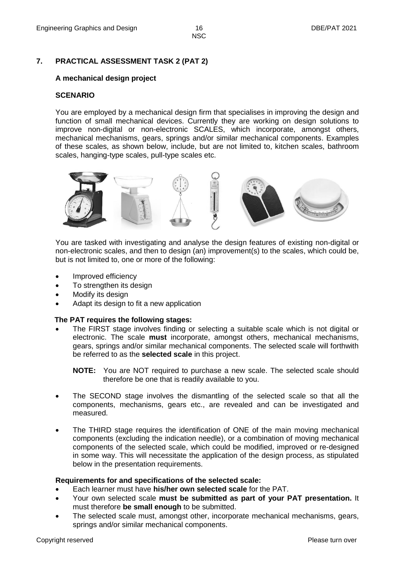# **7. PRACTICAL ASSESSMENT TASK 2 (PAT 2)**

# **A mechanical design project**

# **SCENARIO**

You are employed by a mechanical design firm that specialises in improving the design and function of small mechanical devices. Currently they are working on design solutions to improve non-digital or non-electronic SCALES, which incorporate, amongst others, mechanical mechanisms, gears, springs and/or similar mechanical components. Examples of these scales, as shown below, include, but are not limited to, kitchen scales, bathroom scales, hanging-type scales, pull-type scales etc.



You are tasked with investigating and analyse the design features of existing non-digital or non-electronic scales, and then to design (an) improvement(s) to the scales, which could be, but is not limited to, one or more of the following:

- Improved efficiency
- To strengthen its design
- Modify its design
- Adapt its design to fit a new application

# **The PAT requires the following stages:**

 The FIRST stage involves finding or selecting a suitable scale which is not digital or electronic. The scale **must** incorporate, amongst others, mechanical mechanisms, gears, springs and/or similar mechanical components. The selected scale will forthwith be referred to as the **selected scale** in this project.

**NOTE:** You are NOT required to purchase a new scale. The selected scale should therefore be one that is readily available to you.

- The SECOND stage involves the dismantling of the selected scale so that all the components, mechanisms, gears etc., are revealed and can be investigated and measured.
- The THIRD stage requires the identification of ONE of the main moving mechanical components (excluding the indication needle), or a combination of moving mechanical components of the selected scale, which could be modified, improved or re-designed in some way. This will necessitate the application of the design process, as stipulated below in the presentation requirements.

# **Requirements for and specifications of the selected scale:**

- Each learner must have **his/her own selected scale** for the PAT.
- Your own selected scale **must be submitted as part of your PAT presentation.** It must therefore **be small enough** to be submitted.
- The selected scale must, amongst other, incorporate mechanical mechanisms, gears, springs and/or similar mechanical components.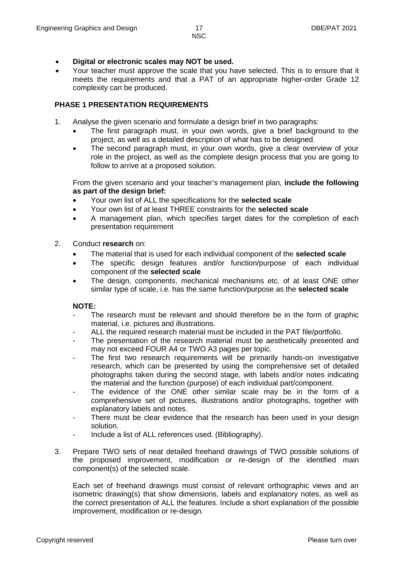- 
- **Digital or electronic scales may NOT be used.**
- Your teacher must approve the scale that you have selected. This is to ensure that it meets the requirements and that a PAT of an appropriate higher-order Grade 12 complexity can be produced.

# **PHASE 1 PRESENTATION REQUIREMENTS**

- 1. Analyse the given scenario and formulate a design brief in two paragraphs:
	- The first paragraph must, in your own words, give a brief background to the project, as well as a detailed description of what has to be designed.
	- The second paragraph must, in your own words, give a clear overview of your role in the project, as well as the complete design process that you are going to follow to arrive at a proposed solution.

From the given scenario and your teacher's management plan, **include the following as part of the design brief:**

- Your own list of ALL the specifications for the **selected scale**
- Your own list of at least THREE constraints for the **selected scale**
- A management plan, which specifies target dates for the completion of each presentation requirement
- 2. Conduct **research** on:
	- The material that is used for each individual component of the **selected scale**
	- The specific design features and/or function/purpose of each individual component of the **selected scale**
	- The design, components, mechanical mechanisms etc. of at least ONE other similar type of scale, i.e. has the same function/purpose as the **selected scale**

# **NOTE:**

- The research must be relevant and should therefore be in the form of graphic material, i.e. pictures and illustrations.
- ALL the required research material must be included in the PAT file/portfolio.
- The presentation of the research material must be aesthetically presented and may not exceed FOUR A4 or TWO A3 pages per topic.
- The first two research requirements will be primarily hands-on investigative research, which can be presented by using the comprehensive set of detailed photographs taken during the second stage, with labels and/or notes indicating the material and the function (purpose) of each individual part/component.
- The evidence of the ONE other similar scale may be in the form of a comprehensive set of pictures, illustrations and/or photographs, together with explanatory labels and notes.
- There must be clear evidence that the research has been used in your design solution.
- Include a list of ALL references used. (Bibliography).
- 3. Prepare TWO sets of neat detailed freehand drawings of TWO possible solutions of the proposed improvement, modification or re-design of the identified main component(s) of the selected scale.

Each set of freehand drawings must consist of relevant orthographic views and an isometric drawing(s) that show dimensions, labels and explanatory notes, as well as the correct presentation of ALL the features. Include a short explanation of the possible improvement, modification or re-design.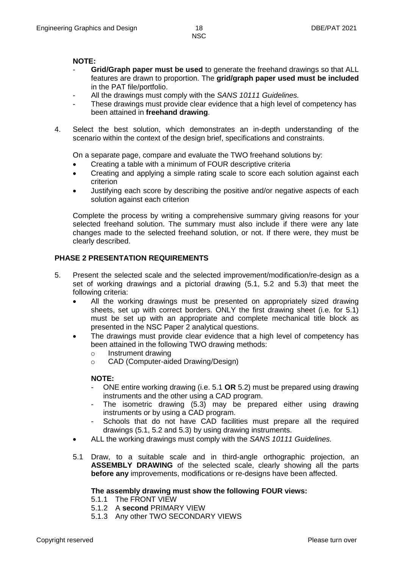#### **NOTE:**

- **Grid/Graph paper must be used** to generate the freehand drawings so that ALL features are drawn to proportion. The **grid/graph paper used must be included**  in the PAT file/portfolio.
- All the drawings must comply with the *SANS 10111 Guidelines.*
- These drawings must provide clear evidence that a high level of competency has been attained in **freehand drawing**.
- 4. Select the best solution, which demonstrates an in-depth understanding of the scenario within the context of the design brief, specifications and constraints.

On a separate page, compare and evaluate the TWO freehand solutions by:

- Creating a table with a minimum of FOUR descriptive criteria
- Creating and applying a simple rating scale to score each solution against each criterion
- Justifying each score by describing the positive and/or negative aspects of each solution against each criterion

Complete the process by writing a comprehensive summary giving reasons for your selected freehand solution. The summary must also include if there were any late changes made to the selected freehand solution, or not. If there were, they must be clearly described.

# **PHASE 2 PRESENTATION REQUIREMENTS**

- 5. Present the selected scale and the selected improvement/modification/re-design as a set of working drawings and a pictorial drawing (5.1, 5.2 and 5.3) that meet the following criteria:
	- All the working drawings must be presented on appropriately sized drawing sheets, set up with correct borders. ONLY the first drawing sheet (i.e. for 5.1) must be set up with an appropriate and complete mechanical title block as presented in the NSC Paper 2 analytical questions.
	- The drawings must provide clear evidence that a high level of competency has been attained in the following TWO drawing methods:
		- o Instrument drawing
		- o CAD (Computer-aided Drawing/Design)

#### **NOTE:**

- ONE entire working drawing (i.e. 5.1 **OR** 5.2) must be prepared using drawing instruments and the other using a CAD program.
- The isometric drawing (5.3) may be prepared either using drawing instruments or by using a CAD program.
- Schools that do not have CAD facilities must prepare all the required drawings (5.1, 5.2 and 5.3) by using drawing instruments.
- ALL the working drawings must comply with the *SANS 10111 Guidelines.*
- 5.1 Draw, to a suitable scale and in third-angle orthographic projection, an **ASSEMBLY DRAWING** of the selected scale, clearly showing all the parts **before any** improvements, modifications or re-designs have been affected.

#### **The assembly drawing must show the following FOUR views:**

- 5.1.1 The FRONT VIEW
- 5.1.2 A **second** PRIMARY VIEW
- 5.1.3 Any other TWO SECONDARY VIEWS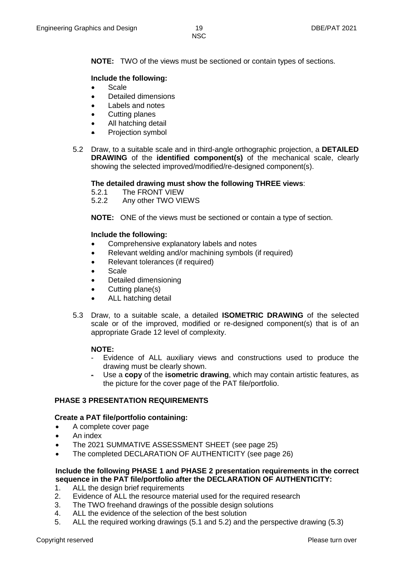**NOTE:** TWO of the views must be sectioned or contain types of sections.

# **Include the following:**

- Scale
- Detailed dimensions
- Labels and notes
- Cutting planes
- All hatching detail
- Projection symbol
- 5.2 Draw, to a suitable scale and in third-angle orthographic projection, a **DETAILED DRAWING** of the **identified component(s)** of the mechanical scale, clearly showing the selected improved/modified/re-designed component(s).

#### **The detailed drawing must show the following THREE views**:

- 5.2.1 The FRONT VIEW
- 5.2.2 Any other TWO VIEWS

**NOTE:** ONE of the views must be sectioned or contain a type of section.

#### **Include the following:**

- Comprehensive explanatory labels and notes
- Relevant welding and/or machining symbols (if required)
- Relevant tolerances (if required)
- Scale
- Detailed dimensioning
- Cutting plane(s)
- ALL hatching detail
- 5.3 Draw, to a suitable scale, a detailed **ISOMETRIC DRAWING** of the selected scale or of the improved, modified or re-designed component(s) that is of an appropriate Grade 12 level of complexity.

#### **NOTE:**

- Evidence of ALL auxiliary views and constructions used to produce the drawing must be clearly shown.
- Use a **copy** of the **isometric drawing**, which may contain artistic features, as the picture for the cover page of the PAT file/portfolio.

#### **PHASE 3 PRESENTATION REQUIREMENTS**

#### **Create a PAT file/portfolio containing:**

- A complete cover page
- An index
- The 2021 SUMMATIVE ASSESSMENT SHEET (see page 25)
- The completed DECLARATION OF AUTHENTICITY (see page 26)

#### **Include the following PHASE 1 and PHASE 2 presentation requirements in the correct sequence in the PAT file/portfolio after the DECLARATION OF AUTHENTICITY:**

- 1. ALL the design brief requirements
- 2. Evidence of ALL the resource material used for the required research
- 3. The TWO freehand drawings of the possible design solutions
- 4. ALL the evidence of the selection of the best solution
- 5. ALL the required working drawings (5.1 and 5.2) and the perspective drawing (5.3)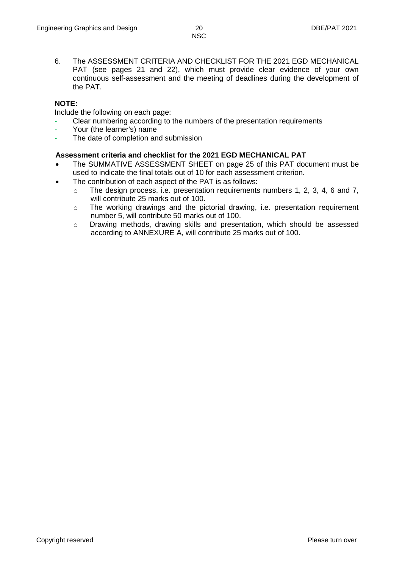6. The ASSESSMENT CRITERIA AND CHECKLIST FOR THE 2021 EGD MECHANICAL PAT (see pages 21 and 22), which must provide clear evidence of your own continuous self-assessment and the meeting of deadlines during the development of the PAT.

# **NOTE:**

Include the following on each page:

- Clear numbering according to the numbers of the presentation requirements
- Your (the learner's) name
- The date of completion and submission

#### **Assessment criteria and checklist for the 2021 EGD MECHANICAL PAT**

- The SUMMATIVE ASSESSMENT SHEET on page 25 of this PAT document must be used to indicate the final totals out of 10 for each assessment criterion.
- The contribution of each aspect of the PAT is as follows:
	- o The design process, i.e. presentation requirements numbers 1, 2, 3, 4, 6 and 7, will contribute 25 marks out of 100.
	- o The working drawings and the pictorial drawing, i.e. presentation requirement number 5, will contribute 50 marks out of 100.
	- o Drawing methods, drawing skills and presentation, which should be assessed according to ANNEXURE A, will contribute 25 marks out of 100.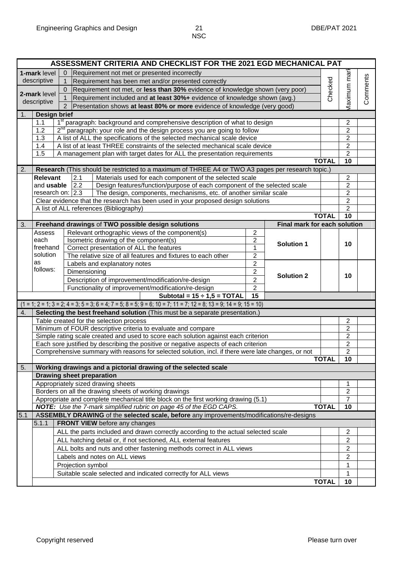|                                                                                                                                                          |                                                                                              | ASSESSMENT CRITERIA AND CHECKLIST FOR THE 2021 EGD MECHANICAL PAT                                                  |              |                                  |          |  |  |  |  |  |  |  |
|----------------------------------------------------------------------------------------------------------------------------------------------------------|----------------------------------------------------------------------------------------------|--------------------------------------------------------------------------------------------------------------------|--------------|----------------------------------|----------|--|--|--|--|--|--|--|
|                                                                                                                                                          | 1-mark level                                                                                 | Requirement not met or presented incorrectly<br>0                                                                  |              |                                  |          |  |  |  |  |  |  |  |
|                                                                                                                                                          | descriptive                                                                                  | Requirement has been met and/or presented correctly<br>$\mathbf 1$                                                 |              |                                  | Comments |  |  |  |  |  |  |  |
|                                                                                                                                                          |                                                                                              | 0 Requirement not met, or less than 30% evidence of knowledge shown (very poor)                                    |              |                                  |          |  |  |  |  |  |  |  |
|                                                                                                                                                          | 2-mark level                                                                                 | Requirement included and at least 30%+ evidence of knowledge shown (avg.)<br>$\mathbf{1}$                          | Checked      | <b>Maximum</b> mar               |          |  |  |  |  |  |  |  |
|                                                                                                                                                          | descriptive                                                                                  | 2 Presentation shows at least 80% or more evidence of knowledge (very good)                                        |              |                                  |          |  |  |  |  |  |  |  |
| <b>Design brief</b><br>1.                                                                                                                                |                                                                                              |                                                                                                                    |              |                                  |          |  |  |  |  |  |  |  |
|                                                                                                                                                          | 1 <sup>st</sup> paragraph: background and comprehensive description of what to design<br>1.1 |                                                                                                                    |              |                                  |          |  |  |  |  |  |  |  |
|                                                                                                                                                          | 1.2                                                                                          | 2 <sup>nd</sup> paragraph: your role and the design process you are going to follow                                |              | 2<br>$\overline{2}$              |          |  |  |  |  |  |  |  |
|                                                                                                                                                          | 1.3                                                                                          | A list of ALL the specifications of the selected mechanical scale device                                           |              | $\overline{2}$                   |          |  |  |  |  |  |  |  |
| 1.4                                                                                                                                                      |                                                                                              | $\overline{2}$                                                                                                     |              |                                  |          |  |  |  |  |  |  |  |
| 1.5                                                                                                                                                      |                                                                                              | $\overline{2}$                                                                                                     |              |                                  |          |  |  |  |  |  |  |  |
| A management plan with target dates for ALL the presentation requirements<br><b>TOTAL</b>                                                                |                                                                                              |                                                                                                                    |              |                                  |          |  |  |  |  |  |  |  |
| 2.                                                                                                                                                       |                                                                                              | Research (This should be restricted to a maximum of THREE A4 or TWO A3 pages per research topic.)                  |              |                                  |          |  |  |  |  |  |  |  |
|                                                                                                                                                          | <b>Relevant</b>                                                                              | 2.1<br>Materials used for each component of the selected scale                                                     |              | 2                                |          |  |  |  |  |  |  |  |
|                                                                                                                                                          | and usable                                                                                   | 2.2<br>Design features/function/purpose of each component of the selected scale                                    |              | $\boldsymbol{2}$                 |          |  |  |  |  |  |  |  |
|                                                                                                                                                          |                                                                                              | The design, components, mechanisms, etc. of another similar scale<br>research on: $2.3$                            |              | $\overline{2}$                   |          |  |  |  |  |  |  |  |
|                                                                                                                                                          |                                                                                              | Clear evidence that the research has been used in your proposed design solutions                                   |              | $\overline{2}$                   |          |  |  |  |  |  |  |  |
|                                                                                                                                                          |                                                                                              | A list of ALL references (Bibliography)                                                                            |              | $\overline{2}$                   |          |  |  |  |  |  |  |  |
|                                                                                                                                                          |                                                                                              |                                                                                                                    | <b>TOTAL</b> | 10                               |          |  |  |  |  |  |  |  |
| 3.                                                                                                                                                       |                                                                                              | Final mark for each solution<br>Freehand drawings of TWO possible design solutions                                 |              |                                  |          |  |  |  |  |  |  |  |
|                                                                                                                                                          | Assess                                                                                       | Relevant orthographic views of the component(s)<br>$\overline{2}$                                                  |              |                                  |          |  |  |  |  |  |  |  |
|                                                                                                                                                          | each                                                                                         | Isometric drawing of the component(s)<br>$\overline{2}$<br><b>Solution 1</b>                                       |              | 10                               |          |  |  |  |  |  |  |  |
|                                                                                                                                                          | freehand                                                                                     | Correct presentation of ALL the features<br>1                                                                      |              |                                  |          |  |  |  |  |  |  |  |
|                                                                                                                                                          | solution                                                                                     | $\overline{2}$<br>The relative size of all features and fixtures to each other                                     |              |                                  |          |  |  |  |  |  |  |  |
|                                                                                                                                                          | as                                                                                           | $\overline{2}$<br>Labels and explanatory notes                                                                     |              |                                  |          |  |  |  |  |  |  |  |
|                                                                                                                                                          | follows:                                                                                     | $\overline{2}$<br>Dimensioning<br><b>Solution 2</b>                                                                |              |                                  |          |  |  |  |  |  |  |  |
|                                                                                                                                                          |                                                                                              | $\overline{2}$<br>Description of improvement/modification/re-design                                                |              | 10                               |          |  |  |  |  |  |  |  |
|                                                                                                                                                          |                                                                                              | $\overline{2}$<br>Functionality of improvement/modification/re-design                                              |              |                                  |          |  |  |  |  |  |  |  |
|                                                                                                                                                          |                                                                                              | Subtotal = $15 \div 1,5 = TOTAL$<br>15                                                                             |              |                                  |          |  |  |  |  |  |  |  |
|                                                                                                                                                          |                                                                                              | $(1 = 1; 2 = 1; 3 = 2; 4 = 3; 5 = 3; 6 = 4; 7 = 5; 8 = 5; 9 = 6; 10 = 7; 11 = 7; 12 = 8; 13 = 9; 14 = 9; 15 = 10)$ |              |                                  |          |  |  |  |  |  |  |  |
| 4.                                                                                                                                                       |                                                                                              | Selecting the best freehand solution (This must be a separate presentation.)                                       |              |                                  |          |  |  |  |  |  |  |  |
|                                                                                                                                                          |                                                                                              | Table created for the selection process                                                                            |              | 2                                |          |  |  |  |  |  |  |  |
|                                                                                                                                                          |                                                                                              | Minimum of FOUR descriptive criteria to evaluate and compare                                                       |              | $\overline{2}$                   |          |  |  |  |  |  |  |  |
|                                                                                                                                                          |                                                                                              | Simple rating scale created and used to score each solution against each criterion                                 |              | $\overline{2}$                   |          |  |  |  |  |  |  |  |
|                                                                                                                                                          |                                                                                              | Each sore justified by describing the positive or negative aspects of each criterion                               |              | $\boldsymbol{2}$                 |          |  |  |  |  |  |  |  |
|                                                                                                                                                          |                                                                                              | Comprehensive summary with reasons for selected solution, incl. if there were late changes, or not                 |              | $\overline{2}$                   |          |  |  |  |  |  |  |  |
|                                                                                                                                                          |                                                                                              |                                                                                                                    | <b>TOTAL</b> | 10                               |          |  |  |  |  |  |  |  |
| 5.                                                                                                                                                       |                                                                                              | Working drawings and a pictorial drawing of the selected scale                                                     |              |                                  |          |  |  |  |  |  |  |  |
|                                                                                                                                                          |                                                                                              | <b>Drawing sheet preparation</b>                                                                                   |              |                                  |          |  |  |  |  |  |  |  |
|                                                                                                                                                          |                                                                                              | Appropriately sized drawing sheets                                                                                 |              |                                  |          |  |  |  |  |  |  |  |
|                                                                                                                                                          |                                                                                              | Borders on all the drawing sheets of working drawings                                                              |              | $\overline{c}$<br>$\overline{7}$ |          |  |  |  |  |  |  |  |
| Appropriate and complete mechanical title block on the first working drawing (5.1)<br>NOTE: Use the 7-mark simplified rubric on page 45 of the EGD CAPS. |                                                                                              |                                                                                                                    |              |                                  |          |  |  |  |  |  |  |  |
|                                                                                                                                                          | <b>TOTAL</b>                                                                                 | 10                                                                                                                 |              |                                  |          |  |  |  |  |  |  |  |
| 5.1                                                                                                                                                      |                                                                                              | ASSEMBLY DRAWING of the selected scale, before any improvements/modifications/re-designs                           |              |                                  |          |  |  |  |  |  |  |  |
|                                                                                                                                                          | 5.1.1                                                                                        | <b>FRONT VIEW</b> before any changes                                                                               |              | 2                                |          |  |  |  |  |  |  |  |
|                                                                                                                                                          | ALL the parts included and drawn correctly according to the actual selected scale            |                                                                                                                    |              |                                  |          |  |  |  |  |  |  |  |
|                                                                                                                                                          | ALL hatching detail or, if not sectioned, ALL external features                              |                                                                                                                    |              |                                  |          |  |  |  |  |  |  |  |
|                                                                                                                                                          |                                                                                              | ALL bolts and nuts and other fastening methods correct in ALL views                                                |              | $\overline{c}$                   |          |  |  |  |  |  |  |  |
|                                                                                                                                                          |                                                                                              | Labels and notes on ALL views                                                                                      |              | $\overline{2}$                   |          |  |  |  |  |  |  |  |
|                                                                                                                                                          |                                                                                              | Projection symbol                                                                                                  |              | 1                                |          |  |  |  |  |  |  |  |
|                                                                                                                                                          |                                                                                              |                                                                                                                    |              | 1                                |          |  |  |  |  |  |  |  |
|                                                                                                                                                          | Suitable scale selected and indicated correctly for ALL views<br><b>TOTAL</b>                |                                                                                                                    |              |                                  |          |  |  |  |  |  |  |  |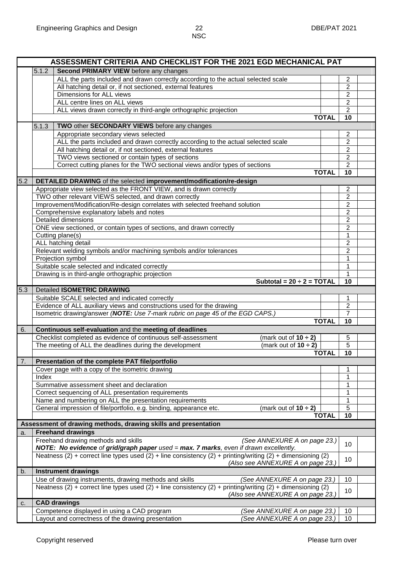|     | ASSESSMENT CRITERIA AND CHECKLIST FOR THE 2021 EGD MECHANICAL PAT                                           |              |                                  |  |  |  |  |  |  |  |
|-----|-------------------------------------------------------------------------------------------------------------|--------------|----------------------------------|--|--|--|--|--|--|--|
|     | 5.1.2<br>Second PRIMARY VIEW before any changes                                                             |              |                                  |  |  |  |  |  |  |  |
|     | ALL the parts included and drawn correctly according to the actual selected scale                           |              | $\overline{2}$                   |  |  |  |  |  |  |  |
|     | All hatching detail or, if not sectioned, external features                                                 |              | $\overline{2}$                   |  |  |  |  |  |  |  |
|     | Dimensions for ALL views                                                                                    |              | $\overline{2}$                   |  |  |  |  |  |  |  |
|     | ALL centre lines on ALL views                                                                               |              |                                  |  |  |  |  |  |  |  |
|     | ALL views drawn correctly in third-angle orthographic projection                                            |              | $\overline{2}$<br>$\overline{2}$ |  |  |  |  |  |  |  |
|     |                                                                                                             | <b>TOTAL</b> | 10                               |  |  |  |  |  |  |  |
|     | TWO other SECONDARY VIEWS before any changes<br>5.1.3                                                       |              |                                  |  |  |  |  |  |  |  |
|     |                                                                                                             |              |                                  |  |  |  |  |  |  |  |
|     | Appropriate secondary views selected                                                                        |              | $\overline{2}$                   |  |  |  |  |  |  |  |
|     | ALL the parts included and drawn correctly according to the actual selected scale                           |              | $\overline{2}$                   |  |  |  |  |  |  |  |
|     | All hatching detail or, if not sectioned, external features                                                 |              | $\mathbf 2$                      |  |  |  |  |  |  |  |
|     | TWO views sectioned or contain types of sections                                                            |              | $\overline{2}$                   |  |  |  |  |  |  |  |
|     | Correct cutting planes for the TWO sectional views and/or types of sections                                 |              | $\overline{2}$                   |  |  |  |  |  |  |  |
|     |                                                                                                             | <b>TOTAL</b> | 10                               |  |  |  |  |  |  |  |
| 5.2 | DETAILED DRAWING of the selected improvement/modification/re-design                                         |              |                                  |  |  |  |  |  |  |  |
|     | Appropriate view selected as the FRONT VIEW, and is drawn correctly                                         |              | 2                                |  |  |  |  |  |  |  |
|     | TWO other relevant VIEWS selected, and drawn correctly                                                      |              | $\overline{2}$                   |  |  |  |  |  |  |  |
|     | Improvement/Modification/Re-design correlates with selected freehand solution                               |              | $\overline{2}$                   |  |  |  |  |  |  |  |
|     | Comprehensive explanatory labels and notes                                                                  |              | $\overline{2}$                   |  |  |  |  |  |  |  |
|     | <b>Detailed dimensions</b>                                                                                  |              | $\overline{2}$                   |  |  |  |  |  |  |  |
|     | ONE view sectioned, or contain types of sections, and drawn correctly                                       |              | $\overline{2}$                   |  |  |  |  |  |  |  |
|     | Cutting plane(s)                                                                                            |              | 1                                |  |  |  |  |  |  |  |
|     | ALL hatching detail                                                                                         |              | $\overline{2}$                   |  |  |  |  |  |  |  |
|     | Relevant welding symbols and/or machining symbols and/or tolerances                                         |              | $\overline{c}$                   |  |  |  |  |  |  |  |
|     | Projection symbol                                                                                           |              | $\mathbf{1}$                     |  |  |  |  |  |  |  |
|     | Suitable scale selected and indicated correctly                                                             |              | 1                                |  |  |  |  |  |  |  |
|     | Drawing is in third-angle orthographic projection                                                           |              | 1                                |  |  |  |  |  |  |  |
|     | Subtotal = $20 \div 2 = \text{TOTAL}$                                                                       |              | $\overline{10}$                  |  |  |  |  |  |  |  |
|     |                                                                                                             |              |                                  |  |  |  |  |  |  |  |
| 5.3 | <b>Detailed ISOMETRIC DRAWING</b>                                                                           |              |                                  |  |  |  |  |  |  |  |
|     | Suitable SCALE selected and indicated correctly                                                             |              | 1                                |  |  |  |  |  |  |  |
|     | Evidence of ALL auxiliary views and constructions used for the drawing                                      |              | $\overline{2}$                   |  |  |  |  |  |  |  |
|     | Isometric drawing/answer (NOTE: Use 7-mark rubric on page 45 of the EGD CAPS.)                              |              | $\overline{7}$                   |  |  |  |  |  |  |  |
|     |                                                                                                             | <b>TOTAL</b> | 10                               |  |  |  |  |  |  |  |
| 6.  | Continuous self-evaluation and the meeting of deadlines                                                     |              |                                  |  |  |  |  |  |  |  |
|     | Checklist completed as evidence of continuous self-assessment<br>(mark out of $10 \div 2$ )                 |              | 5                                |  |  |  |  |  |  |  |
|     | The meeting of ALL the deadlines during the development<br>(mark out of $10 \div 2$ )                       |              | $\overline{5}$                   |  |  |  |  |  |  |  |
|     |                                                                                                             | <b>TOTAL</b> | 10                               |  |  |  |  |  |  |  |
| 7.  | Presentation of the complete PAT file/portfolio                                                             |              |                                  |  |  |  |  |  |  |  |
|     | Cover page with a copy of the isometric drawing                                                             |              | 1                                |  |  |  |  |  |  |  |
|     | Index                                                                                                       |              | 1                                |  |  |  |  |  |  |  |
|     | Summative assessment sheet and declaration                                                                  |              | 1                                |  |  |  |  |  |  |  |
|     | Correct sequencing of ALL presentation requirements                                                         |              | 1                                |  |  |  |  |  |  |  |
|     | Name and numbering on ALL the presentation requirements                                                     |              | 1                                |  |  |  |  |  |  |  |
|     | General impression of file/portfolio, e.g. binding, appearance etc.<br>(mark out of $10 \div 2$ )           |              | $\overline{5}$                   |  |  |  |  |  |  |  |
|     |                                                                                                             | <b>TOTAL</b> | 10                               |  |  |  |  |  |  |  |
|     | Assessment of drawing methods, drawing skills and presentation                                              |              |                                  |  |  |  |  |  |  |  |
|     |                                                                                                             |              |                                  |  |  |  |  |  |  |  |
| a.  | <b>Freehand drawings</b>                                                                                    |              |                                  |  |  |  |  |  |  |  |
|     | Freehand drawing methods and skills<br>(See ANNEXURE A on page 23.)                                         |              | 10                               |  |  |  |  |  |  |  |
|     | NOTE: No evidence of grid/graph paper used = max. 7 marks, even if drawn excellently.                       |              |                                  |  |  |  |  |  |  |  |
|     | Neatness (2) + correct line types used (2) + line consistency (2) + printing/writing (2) + dimensioning (2) |              | 10                               |  |  |  |  |  |  |  |
|     | (Also see ANNEXURE A on page 23.)                                                                           |              |                                  |  |  |  |  |  |  |  |
| b.  | <b>Instrument drawings</b>                                                                                  |              |                                  |  |  |  |  |  |  |  |
|     | Use of drawing instruments, drawing methods and skills<br>(See ANNEXURE A on page 23.)                      |              | 10                               |  |  |  |  |  |  |  |
|     | Neatness (2) + correct line types used (2) + line consistency (2) + printing/writing (2) + dimensioning (2) |              | 10                               |  |  |  |  |  |  |  |
|     | (Also see ANNEXURE A on page 23.)                                                                           |              |                                  |  |  |  |  |  |  |  |
| c.  | <b>CAD drawings</b>                                                                                         |              |                                  |  |  |  |  |  |  |  |
|     | Competence displayed in using a CAD program<br>(See ANNEXURE A on page 23.)                                 |              | 10                               |  |  |  |  |  |  |  |
|     |                                                                                                             |              |                                  |  |  |  |  |  |  |  |
|     | Layout and correctness of the drawing presentation<br>(See ANNEXURE A on page 23.)                          |              | 10                               |  |  |  |  |  |  |  |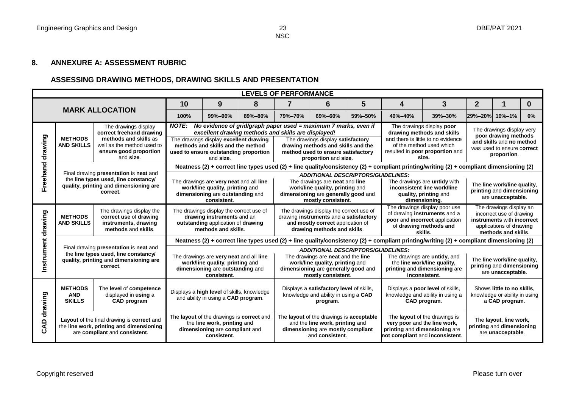#### **8. ANNEXURE A: ASSESSMENT RUBRIC**

# **ASSESSING DRAWING METHODS, DRAWING SKILLS AND PRESENTATION**

| <b>LEVELS OF PERFORMANCE</b> |                                               |                                                                                                                                                |                                                                                                                                         |                                                                                                                                                                                                                                                               |                                                                                                                                     |                                                                                                                                                                                                                                                                                                                                                                                                                      |                                                                                              |                                                                |                                                                                                                                      |                                                                                                                                         |                                                                               |                                                                               |              |  |
|------------------------------|-----------------------------------------------|------------------------------------------------------------------------------------------------------------------------------------------------|-----------------------------------------------------------------------------------------------------------------------------------------|---------------------------------------------------------------------------------------------------------------------------------------------------------------------------------------------------------------------------------------------------------------|-------------------------------------------------------------------------------------------------------------------------------------|----------------------------------------------------------------------------------------------------------------------------------------------------------------------------------------------------------------------------------------------------------------------------------------------------------------------------------------------------------------------------------------------------------------------|----------------------------------------------------------------------------------------------|----------------------------------------------------------------|--------------------------------------------------------------------------------------------------------------------------------------|-----------------------------------------------------------------------------------------------------------------------------------------|-------------------------------------------------------------------------------|-------------------------------------------------------------------------------|--------------|--|
|                              |                                               |                                                                                                                                                | 9<br>$\overline{7}$<br>$5\phantom{.0}$<br>10<br>8<br>6<br>4                                                                             |                                                                                                                                                                                                                                                               |                                                                                                                                     |                                                                                                                                                                                                                                                                                                                                                                                                                      |                                                                                              |                                                                |                                                                                                                                      | 3                                                                                                                                       | $\overline{2}$                                                                | 1                                                                             | $\mathbf{0}$ |  |
| <b>MARK ALLOCATION</b>       |                                               |                                                                                                                                                | 100%                                                                                                                                    | 99%-90%                                                                                                                                                                                                                                                       | 89%-80%                                                                                                                             | 79%-70%                                                                                                                                                                                                                                                                                                                                                                                                              | 69%-60%                                                                                      | 59%-50%                                                        | 49%-40%                                                                                                                              | 39%-30%                                                                                                                                 | 29%-20% 19%-1%                                                                |                                                                               | 0%           |  |
| drawing                      | <b>METHODS</b><br><b>AND SKILLS</b>           | The drawings display<br>correct freehand drawing<br>methods and skills as<br>well as the method used to<br>ensure good proportion<br>and size. | <b>NOTE:</b>                                                                                                                            | No evidence of grid/graph paper used = $maximum 7$ marks, even if<br>excellent drawing methods and skills are displayed!<br>The drawings display excellent drawing<br>methods and skills and the method<br>used to ensure outstanding proportion<br>and size. |                                                                                                                                     | The drawings display poor<br>The drawings display very<br>drawing methods and skills<br>poor drawing methods<br>and there is little to no evidence<br>The drawings display satisfactory<br>and skills and no method<br>of the method used which<br>drawing methods and skills and the<br>was used to ensure correct<br>resulted in poor proportion and<br>method used to ensure satisfactory<br>proportion.<br>size. |                                                                                              |                                                                |                                                                                                                                      |                                                                                                                                         |                                                                               |                                                                               |              |  |
|                              |                                               | Final drawing presentation is neat and                                                                                                         |                                                                                                                                         |                                                                                                                                                                                                                                                               |                                                                                                                                     |                                                                                                                                                                                                                                                                                                                                                                                                                      |                                                                                              |                                                                |                                                                                                                                      | Neatness (2) + correct line types used (2) + line quality/consistency (2) + compliant printing/writing (2) + compliant dimensioning (2) |                                                                               |                                                                               |              |  |
| Freehand                     |                                               | the line types used, line constancy/<br>quality, printing and dimensioning are<br>correct.                                                     |                                                                                                                                         | The drawings are very neat and all line<br>work/line quality, printing and<br>dimensioning are outstanding and<br>consistent.                                                                                                                                 |                                                                                                                                     | <b>ADDITIONAL DESCRIPTORS/GUIDELINES:</b><br>The drawings are neat and line<br>work/line quality, printing and<br>dimensioning are generally good and<br>mostly consistent.                                                                                                                                                                                                                                          |                                                                                              |                                                                | The drawings are <b>untidy</b> with<br>inconsistent line work/line<br>quality, printing and<br>dimensioning.                         | The line work/line quality,<br>printing and dimensioning<br>are unacceptable.                                                           |                                                                               |                                                                               |              |  |
| drawing                      | <b>METHODS</b><br><b>AND SKILLS</b>           | The drawings display the<br>correct use of drawing<br>instruments, drawing<br>methods and skills.                                              |                                                                                                                                         | The drawings display the correct use of<br>drawing instruments and an<br>outstanding application of drawing<br>methods and skills.                                                                                                                            |                                                                                                                                     | The drawings display the correct use of<br>drawing instruments and a satisfactory<br>and mostly correct application of<br>drawing methods and skills.                                                                                                                                                                                                                                                                |                                                                                              |                                                                | The drawings display poor use<br>of drawing instruments and a<br>poor and incorrect application<br>of drawing methods and<br>skills. | The drawings display an<br>incorrect use of drawing<br>instruments with incorrect<br>applications of drawing<br>methods and skills.     |                                                                               |                                                                               |              |  |
|                              |                                               |                                                                                                                                                | Neatness (2) + correct line types used (2) + line quality/consistency (2) + compliant printing/writing (2) + compliant dimensioning (2) |                                                                                                                                                                                                                                                               |                                                                                                                                     |                                                                                                                                                                                                                                                                                                                                                                                                                      |                                                                                              |                                                                |                                                                                                                                      |                                                                                                                                         |                                                                               |                                                                               |              |  |
| Instrument                   |                                               | Final drawing presentation is neat and<br>the line types used, line constancy/<br>quality, printing and dimensioning are<br>correct.           |                                                                                                                                         | The drawings are very neat and all line<br>work/line quality, printing and<br>dimensioning are outstanding and<br>consistent.                                                                                                                                 |                                                                                                                                     | <b>ADDITIONAL DESCRIPTORS/GUIDELINES:</b><br>The drawings are neat and the line<br>work/line quality, printing and<br>dimensioning are generally good and<br>mostly consistent.                                                                                                                                                                                                                                      |                                                                                              |                                                                | The drawings are untidy, and<br>the line work/line quality,<br>printing and dimensioning are<br>inconsistent.                        |                                                                                                                                         | The line work/line quality,<br>printing and dimensioning<br>are unacceptable. |                                                                               |              |  |
| drawing<br>CAD               | <b>METHODS</b><br><b>AND</b><br><b>SKILLS</b> | The level of competence<br>displayed in using a<br>CAD program                                                                                 | Displays a high level of skills, knowledge<br>and ability in using a CAD program.                                                       |                                                                                                                                                                                                                                                               |                                                                                                                                     |                                                                                                                                                                                                                                                                                                                                                                                                                      | Displays a satisfactory level of skills,<br>knowledge and ability in using a CAD<br>program. |                                                                |                                                                                                                                      | Displays a poor level of skills,<br>knowledge and ability in using a<br>CAD program.                                                    |                                                                               | Shows little to no skills.<br>knowledge or ability in using<br>a CAD program. |              |  |
|                              |                                               | Layout of the final drawing is correct and<br>the line work, printing and dimensioning<br>are compliant and consistent.                        | The layout of the drawings is correct and<br>the line work, printing and<br>dimensioning are compliant and                              |                                                                                                                                                                                                                                                               | The layout of the drawings is acceptable<br>and the line work, printing and<br>dimensioning are mostly compliant<br>and consistent. |                                                                                                                                                                                                                                                                                                                                                                                                                      | very poor and the line work,<br>not compliant and inconsistent.                              | The layout of the drawings is<br>printing and dimensioning are |                                                                                                                                      | The layout, line work,<br>printing and dimensioning<br>are unacceptable.                                                                |                                                                               |                                                                               |              |  |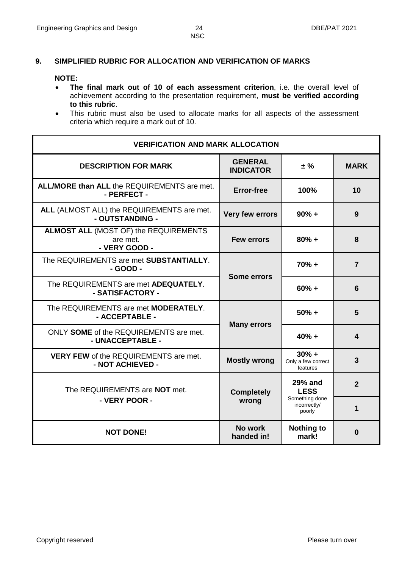# **9. SIMPLIFIED RUBRIC FOR ALLOCATION AND VERIFICATION OF MARKS**

#### **NOTE:**

- **The final mark out of 10 of each assessment criterion**, i.e. the overall level of achievement according to the presentation requirement, **must be verified according to this rubric**.
- This rubric must also be used to allocate marks for all aspects of the assessment criteria which require a mark out of 10.

| <b>VERIFICATION AND MARK ALLOCATION</b>                                   |                                    |                                           |                |  |  |  |  |  |  |  |
|---------------------------------------------------------------------------|------------------------------------|-------------------------------------------|----------------|--|--|--|--|--|--|--|
| <b>DESCRIPTION FOR MARK</b>                                               | <b>GENERAL</b><br><b>INDICATOR</b> | ± %                                       | <b>MARK</b>    |  |  |  |  |  |  |  |
| <b>ALL/MORE than ALL the REQUIREMENTS are met.</b><br>- PERFECT -         | <b>Error-free</b>                  | 100%                                      | 10             |  |  |  |  |  |  |  |
| ALL (ALMOST ALL) the REQUIREMENTS are met.<br>- OUTSTANDING -             | Very few errors                    | $90% +$                                   | 9              |  |  |  |  |  |  |  |
| <b>ALMOST ALL (MOST OF) the REQUIREMENTS</b><br>are met.<br>- VERY GOOD - | <b>Few errors</b>                  | $80% +$                                   | 8              |  |  |  |  |  |  |  |
| The REQUIREMENTS are met SUBSTANTIALLY.<br>- GOOD -                       | <b>Some errors</b>                 | $70% +$                                   | $\overline{7}$ |  |  |  |  |  |  |  |
| The REQUIREMENTS are met ADEQUATELY.<br>- SATISFACTORY -                  |                                    | $60% +$                                   | 6              |  |  |  |  |  |  |  |
| The REQUIREMENTS are met <b>MODERATELY</b> .<br>- ACCEPTABLE -            |                                    | $50% +$                                   | 5              |  |  |  |  |  |  |  |
| ONLY SOME of the REQUIREMENTS are met.<br>- UNACCEPTABLE -                | <b>Many errors</b>                 | $40% +$                                   | 4              |  |  |  |  |  |  |  |
| <b>VERY FEW of the REQUIREMENTS are met.</b><br>- NOT ACHIEVED -          | <b>Mostly wrong</b>                | $30% +$<br>Only a few correct<br>features | $\mathbf{3}$   |  |  |  |  |  |  |  |
| The REQUIREMENTS are NOT met.                                             | <b>Completely</b>                  | <b>29% and</b><br><b>LESS</b>             | $\overline{2}$ |  |  |  |  |  |  |  |
| - VERY POOR -                                                             | wrong                              | Something done<br>incorrectly/<br>poorly  | 1              |  |  |  |  |  |  |  |
| <b>NOT DONE!</b>                                                          | No work<br>handed in!              | <b>Nothing to</b><br>mark!                | 0              |  |  |  |  |  |  |  |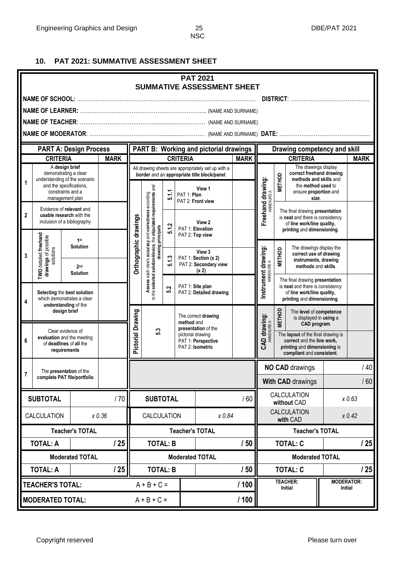# **10. PAT 2021: SUMMATIVE ASSESSMENT SHEET**

| <b>PAT 2021</b><br><b>SUMMATIVE ASSESSMENT SHEET</b> |                                                                   |                                                                                                  |             |                          |                                                                                                                           |                                   |                                                                                    |                                                                                                    |                                                                                                                                                             |                                   |                                                                                                                                |                                                        |                |
|------------------------------------------------------|-------------------------------------------------------------------|--------------------------------------------------------------------------------------------------|-------------|--------------------------|---------------------------------------------------------------------------------------------------------------------------|-----------------------------------|------------------------------------------------------------------------------------|----------------------------------------------------------------------------------------------------|-------------------------------------------------------------------------------------------------------------------------------------------------------------|-----------------------------------|--------------------------------------------------------------------------------------------------------------------------------|--------------------------------------------------------|----------------|
|                                                      |                                                                   |                                                                                                  |             |                          |                                                                                                                           |                                   |                                                                                    |                                                                                                    |                                                                                                                                                             |                                   |                                                                                                                                |                                                        |                |
|                                                      |                                                                   |                                                                                                  |             |                          |                                                                                                                           |                                   |                                                                                    |                                                                                                    |                                                                                                                                                             |                                   |                                                                                                                                |                                                        |                |
|                                                      |                                                                   |                                                                                                  |             |                          |                                                                                                                           |                                   |                                                                                    |                                                                                                    |                                                                                                                                                             |                                   |                                                                                                                                |                                                        |                |
|                                                      |                                                                   |                                                                                                  |             |                          |                                                                                                                           |                                   |                                                                                    |                                                                                                    |                                                                                                                                                             |                                   |                                                                                                                                |                                                        |                |
|                                                      |                                                                   | <b>PART A: Design Process</b>                                                                    |             |                          |                                                                                                                           |                                   |                                                                                    | <b>PART B: Working and pictorial drawings</b>                                                      |                                                                                                                                                             |                                   | Drawing competency and skill                                                                                                   |                                                        |                |
|                                                      | <b>CRITERIA</b>                                                   |                                                                                                  | <b>MARK</b> |                          |                                                                                                                           |                                   | <b>CRITERIA</b>                                                                    |                                                                                                    | <b>MARK</b>                                                                                                                                                 |                                   | <b>CRITERIA</b>                                                                                                                |                                                        | <b>MARK</b>    |
|                                                      |                                                                   | A design brief<br>demonstrating a clear                                                          |             |                          |                                                                                                                           |                                   |                                                                                    | All drawing sheets are appropriately set up with a<br>border and an appropriate title block/panel. |                                                                                                                                                             |                                   | The drawings display<br>correct freehand drawing                                                                               |                                                        |                |
| 1                                                    |                                                                   | understanding of the scenario<br>and the specifications,<br>constraints and a<br>management plan |             |                          |                                                                                                                           | 5.1.1                             | PAT 1: Plan                                                                        | View 1<br>PAT 2: Front view                                                                        |                                                                                                                                                             | Freehand drawing:                 | <b>METHOD</b><br>methods and skills and<br>the method used to<br>ensure proportion and<br>size.                                |                                                        |                |
| 2                                                    |                                                                   | Evidence of relevant and<br>usable research with the<br>inclusion of a bibliography              |             |                          | Assess each view's accuracy and correctness according<br>to the selected solution/device, the stipulated requirements and |                                   |                                                                                    | View 2                                                                                             |                                                                                                                                                             |                                   | The final drawing presentation<br>is neat and there is consistency<br>of line work/line quality,                               |                                                        |                |
|                                                      |                                                                   | 1 <sup>st</sup><br><b>Solution</b>                                                               |             | Orthographic drawings    | drawing principals                                                                                                        | 5.1.2                             |                                                                                    | PAT 1: Elevation<br>PAT 2: Top view                                                                |                                                                                                                                                             |                                   |                                                                                                                                | printing and dimensioning.<br>The drawings display the |                |
| 3                                                    | <b>TWO</b> detailed freehand<br>drawings of possible<br>solutions | 2 <sub>nd</sub><br><b>Solution</b>                                                               |             |                          |                                                                                                                           | 5.1.3                             |                                                                                    | View 3<br>PAT 1: Section (x 2)<br>PAT 2: Secondary view<br>(x 2)                                   |                                                                                                                                                             | Instrument drawing:<br>ANNEXURE A | <b>METHOD</b><br>correct use of drawing<br>instruments, drawing<br>methods and skills.                                         |                                                        |                |
| 4                                                    | Selecting the best solution<br>which demonstrates a clear         |                                                                                                  |             |                          |                                                                                                                           | 5.2                               |                                                                                    | PAT 1: Site plan<br>PAT 2: Detailed drawing                                                        |                                                                                                                                                             |                                   | The final drawing presentation<br>is neat and there is consistency<br>of line work/line quality,<br>printing and dimensioning. |                                                        |                |
|                                                      |                                                                   | understanding of the<br>design brief                                                             |             | Pictorial Drawing<br>5.3 |                                                                                                                           | The correct drawing<br>method and |                                                                                    |                                                                                                    | <b>METHOD</b><br>The level of competence<br>is displayed in using a<br>CAD program.                                                                         |                                   |                                                                                                                                |                                                        |                |
| 6                                                    |                                                                   | Clear evidence of<br>evaluation and the meeting<br>of deadlines of all the<br>requirements       |             |                          |                                                                                                                           |                                   | presentation of the<br>pictorial drawing<br>PAT 1: Perspective<br>PAT 2: Isometric |                                                                                                    | CAD drawing:<br>ANNEXURE A<br>The layout of the final drawing is<br>correct and the line work,<br>printing and dimensioning is<br>compliant and consistent. |                                   |                                                                                                                                |                                                        |                |
|                                                      |                                                                   | The presentation of the                                                                          |             |                          |                                                                                                                           |                                   |                                                                                    |                                                                                                    |                                                                                                                                                             | <b>NO CAD drawings</b>            |                                                                                                                                |                                                        | /40            |
| 7                                                    |                                                                   | complete PAT file/portfolio                                                                      |             |                          |                                                                                                                           |                                   |                                                                                    |                                                                                                    |                                                                                                                                                             |                                   | <b>With CAD drawings</b>                                                                                                       |                                                        | /60            |
|                                                      | <b>SUBTOTAL</b>                                                   |                                                                                                  | /70         |                          | <b>SUBTOTAL</b>                                                                                                           |                                   |                                                                                    |                                                                                                    | /60                                                                                                                                                         | <b>CALCULATION</b><br>without CAD |                                                                                                                                | x 0.63                                                 |                |
|                                                      | CALCULATION                                                       |                                                                                                  | x 0.36      | CALCULATION              |                                                                                                                           |                                   | x 0.84                                                                             |                                                                                                    | CALCULATION<br>with CAD                                                                                                                                     |                                   |                                                                                                                                | x 0.42                                                 |                |
|                                                      |                                                                   | <b>Teacher's TOTAL</b>                                                                           |             |                          |                                                                                                                           |                                   |                                                                                    | <b>Teacher's TOTAL</b>                                                                             |                                                                                                                                                             |                                   | <b>Teacher's TOTAL</b>                                                                                                         |                                                        |                |
|                                                      | <b>TOTAL: A</b>                                                   |                                                                                                  | 125         |                          | <b>TOTAL: B</b>                                                                                                           |                                   |                                                                                    |                                                                                                    | /50                                                                                                                                                         |                                   | <b>TOTAL: C</b>                                                                                                                |                                                        | 25             |
|                                                      |                                                                   | <b>Moderated TOTAL</b>                                                                           |             |                          |                                                                                                                           |                                   |                                                                                    | <b>Moderated TOTAL</b>                                                                             |                                                                                                                                                             |                                   | <b>Moderated TOTAL</b>                                                                                                         |                                                        |                |
|                                                      | <b>TOTAL: A</b>                                                   |                                                                                                  | /25         |                          | <b>TOTAL: B</b>                                                                                                           |                                   |                                                                                    |                                                                                                    | /50                                                                                                                                                         |                                   | <b>TOTAL: C</b>                                                                                                                |                                                        | 125            |
|                                                      | TEACHER'S TOTAL:                                                  |                                                                                                  |             |                          | $A + B + C =$                                                                                                             |                                   |                                                                                    |                                                                                                    | /100                                                                                                                                                        |                                   | <b>TEACHER:</b><br>Initial                                                                                                     | <b>MODERATOR:</b>                                      | <b>Initial</b> |
|                                                      | <b>MODERATED TOTAL:</b>                                           |                                                                                                  |             |                          | $A + B + C =$                                                                                                             |                                   |                                                                                    |                                                                                                    | /100                                                                                                                                                        |                                   |                                                                                                                                |                                                        |                |